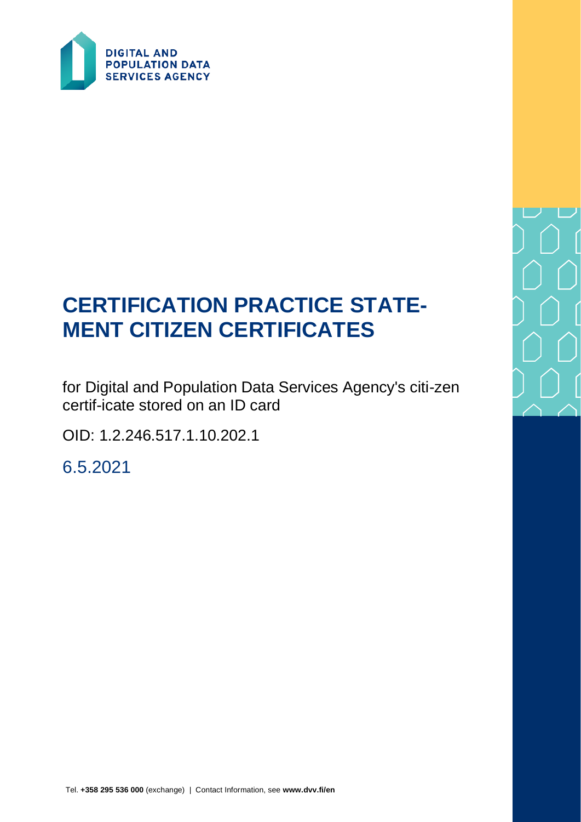

# **CERTIFICATION PRACTICE STATE-MENT CITIZEN CERTIFICATES**

for Digital and Population Data Services Agency's citi-zen certif-icate stored on an ID card

OID: 1.2.246.517.1.10.202.1

6.5.2021

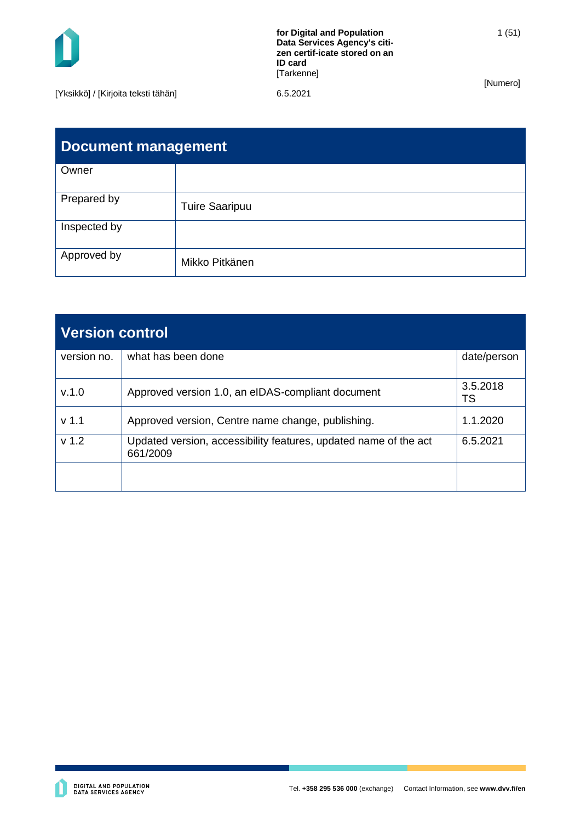

1 (51)

[Numero]

[Yksikkö] / [Kirjoita teksti tähän] 6.5.2021

| <b>Document management</b> |                       |  |
|----------------------------|-----------------------|--|
| Owner                      |                       |  |
| Prepared by                | <b>Tuire Saaripuu</b> |  |
| Inspected by               |                       |  |
| Approved by                | Mikko Pitkänen        |  |

| <b>Version control</b> |                                                                              |                |
|------------------------|------------------------------------------------------------------------------|----------------|
| version no.            | what has been done                                                           | date/person    |
| V.1.0                  | Approved version 1.0, an eIDAS-compliant document                            | 3.5.2018<br>TS |
| v <sub>1.1</sub>       | Approved version, Centre name change, publishing.                            | 1.1.2020       |
| v <sub>1.2</sub>       | Updated version, accessibility features, updated name of the act<br>661/2009 | 6.5.2021       |
|                        |                                                                              |                |

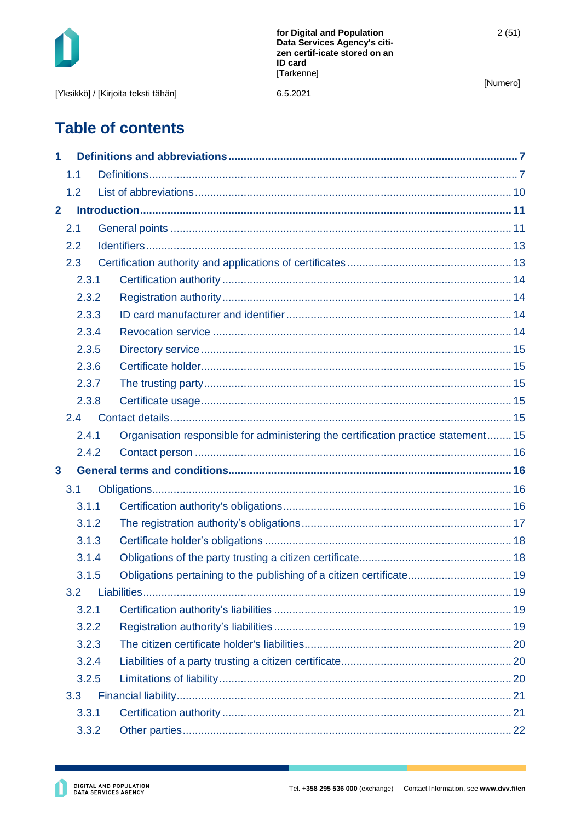| for Digital and Population<br>Data Services Agency's citi-<br>zen certif-icate stored on an | 2(51)          |  |
|---------------------------------------------------------------------------------------------|----------------|--|
| [Tarkenne]                                                                                  | [Numero]       |  |
| 6.5.2021                                                                                    |                |  |
|                                                                                             | <b>ID card</b> |  |

# **Table of contents**

| 1              |       |                                                                                    |  |
|----------------|-------|------------------------------------------------------------------------------------|--|
|                | 1.1   |                                                                                    |  |
|                | 1.2   |                                                                                    |  |
| $\overline{2}$ |       |                                                                                    |  |
|                | 2.1   |                                                                                    |  |
|                | 2.2   |                                                                                    |  |
|                | 2.3   |                                                                                    |  |
|                | 2.3.1 |                                                                                    |  |
|                | 2.3.2 |                                                                                    |  |
|                | 2.3.3 |                                                                                    |  |
|                | 2.3.4 |                                                                                    |  |
|                | 2.3.5 |                                                                                    |  |
|                | 2.3.6 |                                                                                    |  |
|                | 2.3.7 |                                                                                    |  |
|                | 2.3.8 |                                                                                    |  |
|                | 2.4   |                                                                                    |  |
|                | 2.4.1 | Organisation responsible for administering the certification practice statement 15 |  |
|                | 2.4.2 |                                                                                    |  |
| $\mathbf{3}$   |       |                                                                                    |  |
|                | 3.1   |                                                                                    |  |
|                | 3.1.1 |                                                                                    |  |
|                | 3.1.2 |                                                                                    |  |
|                | 3.1.3 |                                                                                    |  |
|                | 3.1.4 |                                                                                    |  |
|                | 3.1.5 | Obligations pertaining to the publishing of a citizen certificate 19               |  |
|                | 3.2   |                                                                                    |  |
|                | 3.2.1 |                                                                                    |  |
|                | 3.2.2 |                                                                                    |  |
|                | 3.2.3 |                                                                                    |  |
|                | 3.2.4 |                                                                                    |  |
|                | 3.2.5 |                                                                                    |  |
|                | 3.3   |                                                                                    |  |
|                | 3.3.1 |                                                                                    |  |
|                | 3.3.2 |                                                                                    |  |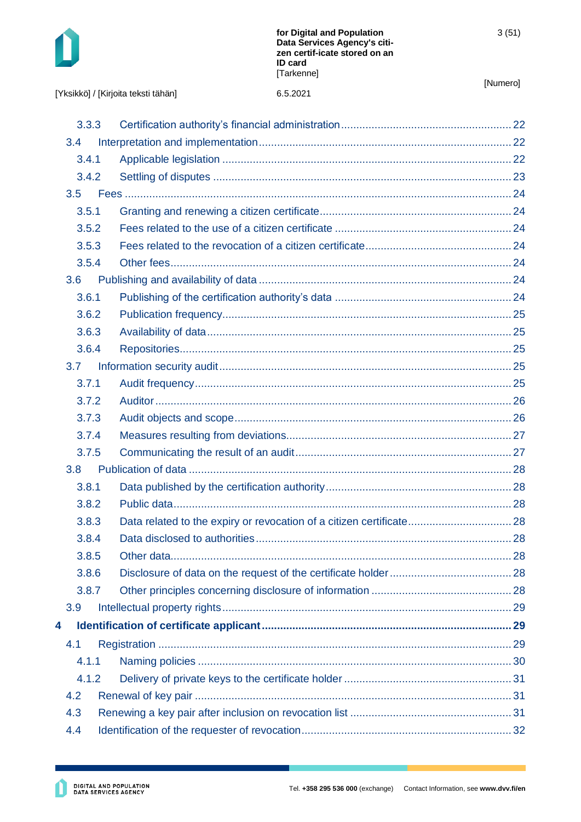

[Yksikkö] / [Kirjoita teksti tähän] 6.5.2021

[Numero]

|  |  | [Yksikkö] / [Kirjoita teksti tähän] |  |
|--|--|-------------------------------------|--|
|--|--|-------------------------------------|--|

|   | 3.3.3            |  |
|---|------------------|--|
|   | 3.4              |  |
|   | 3.4.1            |  |
|   | 3.4.2            |  |
|   | 3.5              |  |
|   | 3.5.1            |  |
|   | 3.5.2            |  |
|   | 3.5.3            |  |
|   | 3.5.4            |  |
|   | 3.6              |  |
|   | 3.6.1            |  |
|   | 3.6.2            |  |
|   | 3.6.3            |  |
|   | 3.6.4            |  |
|   | 3.7              |  |
|   | 3.7.1            |  |
|   | 3.7.2            |  |
|   | 3.7.3            |  |
|   | 3.7.4            |  |
|   | 3.7.5            |  |
|   | 3.8 <sub>2</sub> |  |
|   | 3.8.1            |  |
|   | 3.8.2            |  |
|   | 3.8.3            |  |
|   | 3.8.4            |  |
|   | 3.8.5            |  |
|   | 3.8.6            |  |
|   | 3.8.7            |  |
|   | 3.9              |  |
| 4 |                  |  |
|   | 4.1              |  |
|   | 4.1.1            |  |
|   | 4.1.2            |  |
|   | 4.2              |  |
|   | 4.3              |  |
|   | 4.4              |  |
|   |                  |  |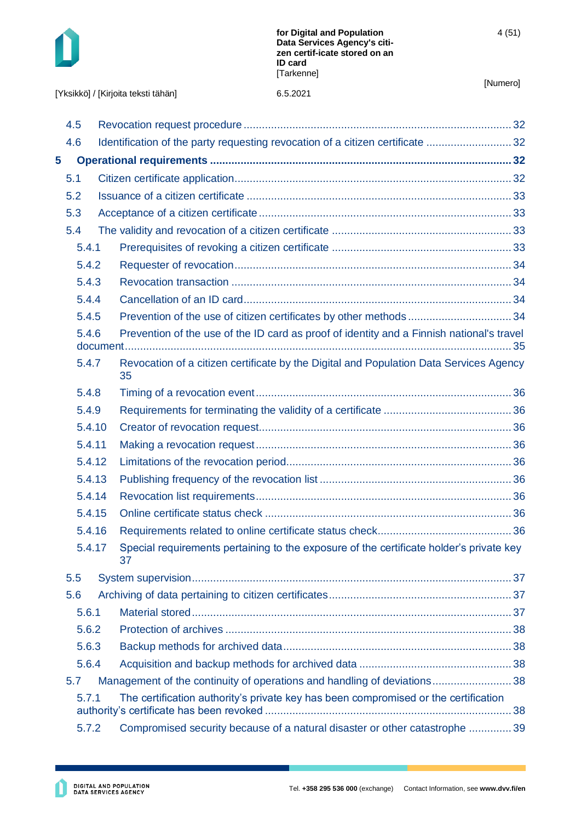

[Yksikkö] / [Kirjoita teksti tähän]

|   | 4.5    |                                                                                               |  |
|---|--------|-----------------------------------------------------------------------------------------------|--|
|   | 4.6    | Identification of the party requesting revocation of a citizen certificate                    |  |
| 5 |        |                                                                                               |  |
|   | 5.1    |                                                                                               |  |
|   | 5.2    |                                                                                               |  |
|   | 5.3    |                                                                                               |  |
|   | 5.4    |                                                                                               |  |
|   | 5.4.1  |                                                                                               |  |
|   | 5.4.2  |                                                                                               |  |
|   | 5.4.3  |                                                                                               |  |
|   | 5.4.4  |                                                                                               |  |
|   | 5.4.5  |                                                                                               |  |
|   | 5.4.6  | Prevention of the use of the ID card as proof of identity and a Finnish national's travel     |  |
|   | 5.4.7  | Revocation of a citizen certificate by the Digital and Population Data Services Agency<br>35  |  |
|   | 5.4.8  |                                                                                               |  |
|   | 5.4.9  |                                                                                               |  |
|   | 5.4.10 |                                                                                               |  |
|   | 5.4.11 |                                                                                               |  |
|   | 5.4.12 |                                                                                               |  |
|   | 5.4.13 |                                                                                               |  |
|   | 5.4.14 |                                                                                               |  |
|   | 5.4.15 |                                                                                               |  |
|   | 5.4.16 |                                                                                               |  |
|   | 5.4.17 | Special requirements pertaining to the exposure of the certificate holder's private key<br>37 |  |
|   | 5.5    |                                                                                               |  |
|   | 5.6    |                                                                                               |  |
|   | 5.6.1  |                                                                                               |  |
|   | 5.6.2  |                                                                                               |  |
|   | 5.6.3  |                                                                                               |  |
|   | 5.6.4  |                                                                                               |  |
|   | 5.7    | Management of the continuity of operations and handling of deviations38                       |  |
|   | 5.7.1  | The certification authority's private key has been compromised or the certification           |  |
|   | 5.7.2  | Compromised security because of a natural disaster or other catastrophe  39                   |  |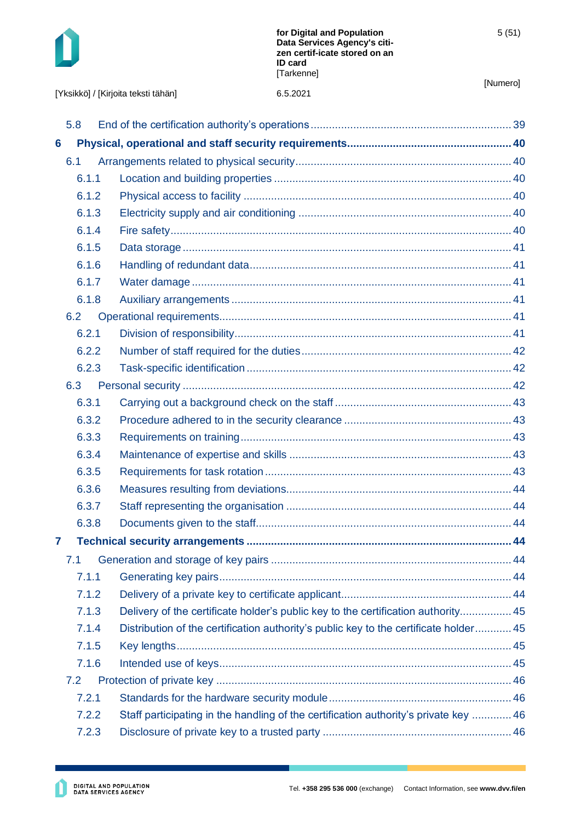

|                 |       | 6.5.2021<br>[Yksikkö] / [Kirjoita teksti tähän]                                       | [Numero] |
|-----------------|-------|---------------------------------------------------------------------------------------|----------|
|                 |       |                                                                                       |          |
| 5.8             |       |                                                                                       |          |
| $6\phantom{1}6$ |       |                                                                                       |          |
| 6.1             |       |                                                                                       |          |
|                 | 6.1.1 |                                                                                       |          |
|                 | 6.1.2 |                                                                                       |          |
|                 | 6.1.3 |                                                                                       |          |
|                 | 6.1.4 |                                                                                       |          |
|                 | 6.1.5 |                                                                                       |          |
|                 | 6.1.6 |                                                                                       |          |
|                 | 6.1.7 |                                                                                       |          |
|                 | 6.1.8 |                                                                                       |          |
| 6.2             |       |                                                                                       |          |
|                 | 6.2.1 |                                                                                       |          |
|                 | 6.2.2 |                                                                                       |          |
|                 | 6.2.3 |                                                                                       |          |
| 6.3             |       |                                                                                       |          |
|                 | 6.3.1 |                                                                                       |          |
|                 | 6.3.2 |                                                                                       |          |
|                 | 6.3.3 |                                                                                       |          |
|                 | 6.3.4 |                                                                                       |          |
|                 | 6.3.5 |                                                                                       |          |
|                 | 6.3.6 |                                                                                       |          |
|                 | 6.3.7 |                                                                                       |          |
|                 | 6.3.8 |                                                                                       |          |
| $\overline{7}$  |       |                                                                                       |          |
| 7.1             |       |                                                                                       |          |
|                 | 7.1.1 |                                                                                       |          |
|                 | 7.1.2 |                                                                                       |          |
|                 | 7.1.3 | Delivery of the certificate holder's public key to the certification authority 45     |          |
|                 | 7.1.4 | Distribution of the certification authority's public key to the certificate holder 45 |          |
|                 | 7.1.5 |                                                                                       |          |
|                 | 7.1.6 |                                                                                       |          |
| 7.2             |       |                                                                                       |          |
|                 | 7.2.1 |                                                                                       |          |
|                 | 7.2.2 | Staff participating in the handling of the certification authority's private key  46  |          |
|                 | 7.2.3 |                                                                                       |          |
|                 |       |                                                                                       |          |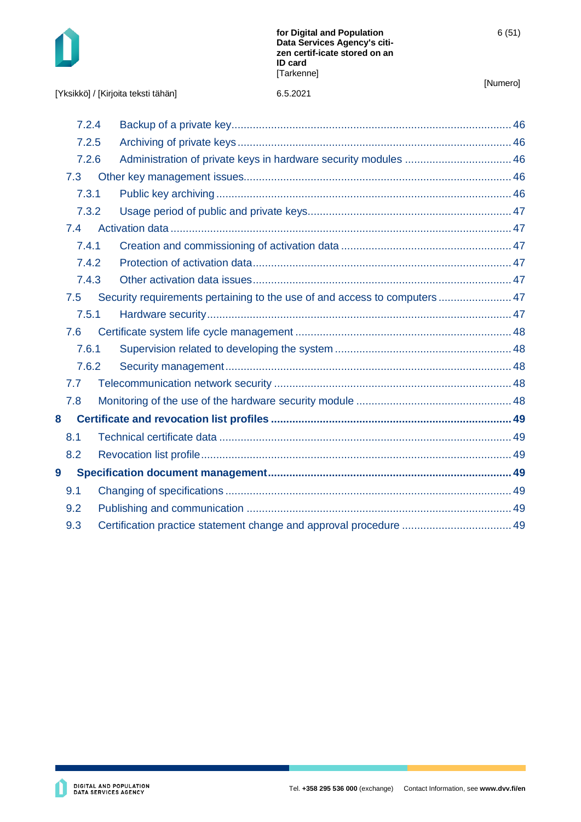

[Yksikkö] / [Kirjoita teksti tähän] 6.5.2021

| 7.3 |                                                                    |                                                                                                                                                                               |
|-----|--------------------------------------------------------------------|-------------------------------------------------------------------------------------------------------------------------------------------------------------------------------|
|     |                                                                    |                                                                                                                                                                               |
|     |                                                                    |                                                                                                                                                                               |
| 7.4 |                                                                    |                                                                                                                                                                               |
|     |                                                                    |                                                                                                                                                                               |
|     |                                                                    |                                                                                                                                                                               |
|     |                                                                    |                                                                                                                                                                               |
| 7.5 |                                                                    |                                                                                                                                                                               |
|     |                                                                    |                                                                                                                                                                               |
| 7.6 |                                                                    |                                                                                                                                                                               |
|     |                                                                    |                                                                                                                                                                               |
|     |                                                                    |                                                                                                                                                                               |
| 7.7 |                                                                    |                                                                                                                                                                               |
| 7.8 |                                                                    |                                                                                                                                                                               |
|     |                                                                    |                                                                                                                                                                               |
| 8.1 |                                                                    |                                                                                                                                                                               |
| 8.2 |                                                                    |                                                                                                                                                                               |
|     |                                                                    |                                                                                                                                                                               |
| 9.1 |                                                                    |                                                                                                                                                                               |
| 9.2 |                                                                    |                                                                                                                                                                               |
| 9.3 | Certification practice statement change and approval procedure  49 |                                                                                                                                                                               |
|     |                                                                    | 7.2.4<br>7.2.5<br>7.2.6<br>7.3.1<br>7.3.2<br>7.4.1<br>7.4.2<br>7.4.3<br>Security requirements pertaining to the use of and access to computers  47<br>7.5.1<br>7.6.1<br>7.6.2 |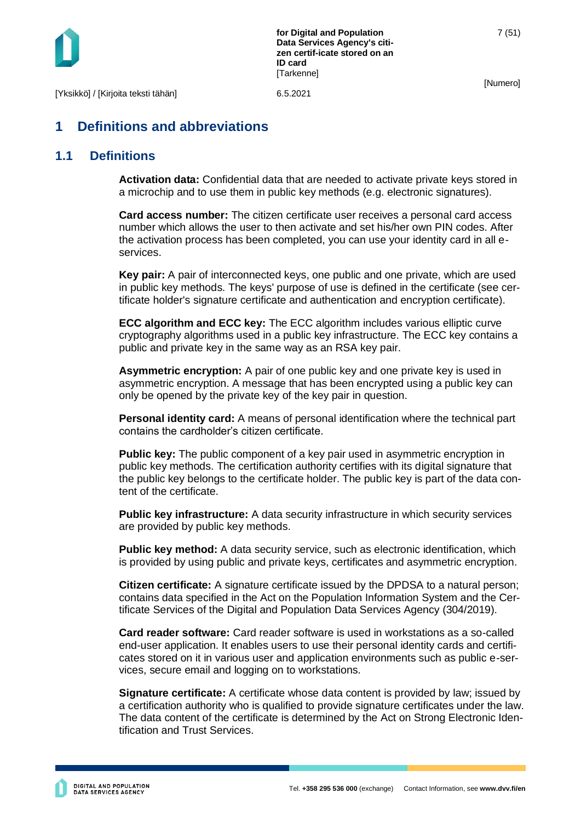

**for Digital and Population Data Services Agency's citizen certif-icate stored on an ID card** [Tarkenne]

[Numero]

## <span id="page-7-0"></span>**1 Definitions and abbreviations**

## <span id="page-7-1"></span>**1.1 Definitions**

**Activation data:** Confidential data that are needed to activate private keys stored in a microchip and to use them in public key methods (e.g. electronic signatures).

**Card access number:** The citizen certificate user receives a personal card access number which allows the user to then activate and set his/her own PIN codes. After the activation process has been completed, you can use your identity card in all eservices.

**Key pair:** A pair of interconnected keys, one public and one private, which are used in public key methods. The keys' purpose of use is defined in the certificate (see certificate holder's signature certificate and authentication and encryption certificate).

**ECC algorithm and ECC key:** The ECC algorithm includes various elliptic curve cryptography algorithms used in a public key infrastructure. The ECC key contains a public and private key in the same way as an RSA key pair.

**Asymmetric encryption:** A pair of one public key and one private key is used in asymmetric encryption. A message that has been encrypted using a public key can only be opened by the private key of the key pair in question.

**Personal identity card:** A means of personal identification where the technical part contains the cardholder's citizen certificate.

**Public key:** The public component of a key pair used in asymmetric encryption in public key methods. The certification authority certifies with its digital signature that the public key belongs to the certificate holder. The public key is part of the data content of the certificate.

**Public key infrastructure:** A data security infrastructure in which security services are provided by public key methods.

**Public key method:** A data security service, such as electronic identification, which is provided by using public and private keys, certificates and asymmetric encryption.

**Citizen certificate:** A signature certificate issued by the DPDSA to a natural person; contains data specified in the Act on the Population Information System and the Certificate Services of the Digital and Population Data Services Agency (304/2019).

**Card reader software:** Card reader software is used in workstations as a so-called end-user application. It enables users to use their personal identity cards and certificates stored on it in various user and application environments such as public e-services, secure email and logging on to workstations.

**Signature certificate:** A certificate whose data content is provided by law; issued by a certification authority who is qualified to provide signature certificates under the law. The data content of the certificate is determined by the Act on Strong Electronic Identification and Trust Services.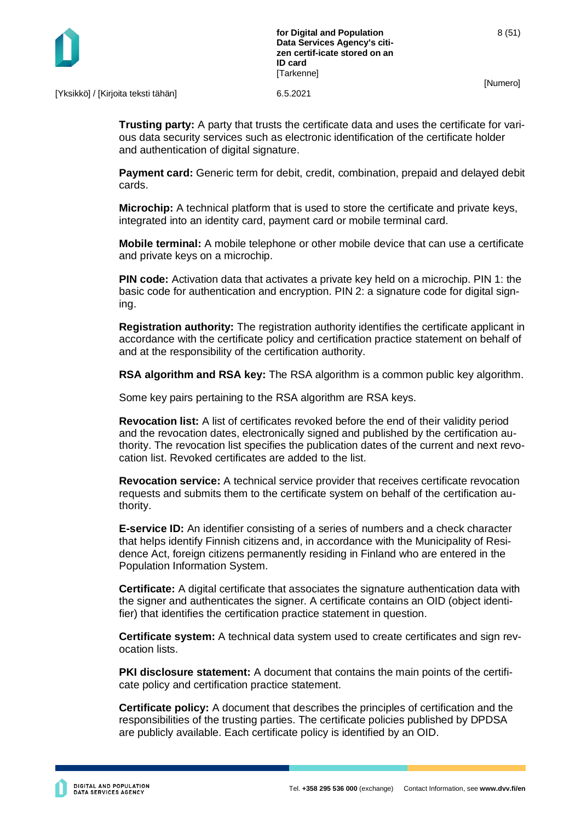

[Yksikkö] / [Kirjoita teksti tähän] 6.5.2021

**Trusting party:** A party that trusts the certificate data and uses the certificate for various data security services such as electronic identification of the certificate holder and authentication of digital signature.

**Payment card:** Generic term for debit, credit, combination, prepaid and delayed debit cards.

**Microchip:** A technical platform that is used to store the certificate and private keys, integrated into an identity card, payment card or mobile terminal card.

**Mobile terminal:** A mobile telephone or other mobile device that can use a certificate and private keys on a microchip.

**PIN code:** Activation data that activates a private key held on a microchip. PIN 1: the basic code for authentication and encryption. PIN 2: a signature code for digital signing.

**Registration authority:** The registration authority identifies the certificate applicant in accordance with the certificate policy and certification practice statement on behalf of and at the responsibility of the certification authority.

**RSA algorithm and RSA key:** The RSA algorithm is a common public key algorithm.

Some key pairs pertaining to the RSA algorithm are RSA keys.

**Revocation list:** A list of certificates revoked before the end of their validity period and the revocation dates, electronically signed and published by the certification authority. The revocation list specifies the publication dates of the current and next revocation list. Revoked certificates are added to the list.

**Revocation service:** A technical service provider that receives certificate revocation requests and submits them to the certificate system on behalf of the certification authority.

**E-service ID:** An identifier consisting of a series of numbers and a check character that helps identify Finnish citizens and, in accordance with the Municipality of Residence Act, foreign citizens permanently residing in Finland who are entered in the Population Information System.

**Certificate:** A digital certificate that associates the signature authentication data with the signer and authenticates the signer. A certificate contains an OID (object identifier) that identifies the certification practice statement in question.

**Certificate system:** A technical data system used to create certificates and sign revocation lists.

**PKI disclosure statement:** A document that contains the main points of the certificate policy and certification practice statement.

**Certificate policy:** A document that describes the principles of certification and the responsibilities of the trusting parties. The certificate policies published by DPDSA are publicly available. Each certificate policy is identified by an OID.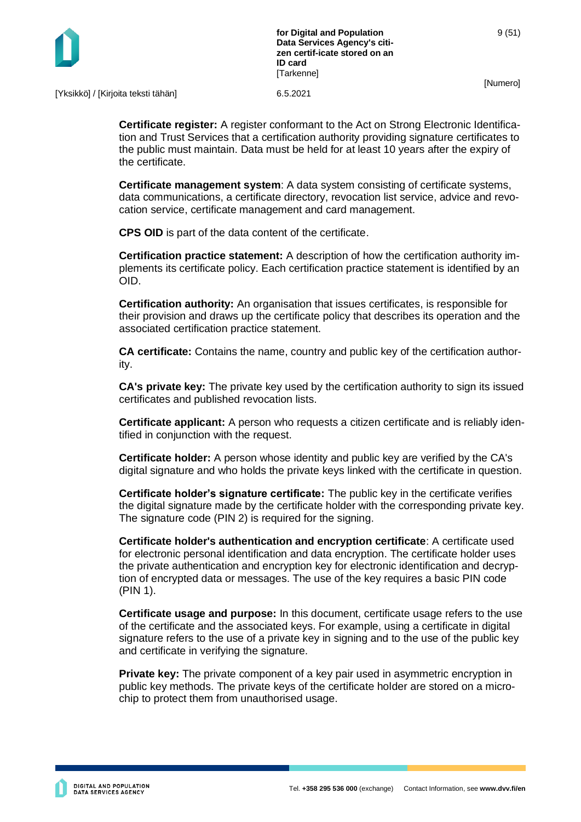

[Yksikkö] / [Kirjoita teksti tähän] 6.5.2021

**Certificate register:** A register conformant to the Act on Strong Electronic Identification and Trust Services that a certification authority providing signature certificates to the public must maintain. Data must be held for at least 10 years after the expiry of the certificate.

**Certificate management system**: A data system consisting of certificate systems, data communications, a certificate directory, revocation list service, advice and revocation service, certificate management and card management.

**CPS OID** is part of the data content of the certificate.

**Certification practice statement:** A description of how the certification authority implements its certificate policy. Each certification practice statement is identified by an OID.

**Certification authority:** An organisation that issues certificates, is responsible for their provision and draws up the certificate policy that describes its operation and the associated certification practice statement.

**CA certificate:** Contains the name, country and public key of the certification authority.

**CA's private key:** The private key used by the certification authority to sign its issued certificates and published revocation lists.

**Certificate applicant:** A person who requests a citizen certificate and is reliably identified in conjunction with the request.

**Certificate holder:** A person whose identity and public key are verified by the CA's digital signature and who holds the private keys linked with the certificate in question.

**Certificate holder's signature certificate:** The public key in the certificate verifies the digital signature made by the certificate holder with the corresponding private key. The signature code (PIN 2) is required for the signing.

**Certificate holder's authentication and encryption certificate**: A certificate used for electronic personal identification and data encryption. The certificate holder uses the private authentication and encryption key for electronic identification and decryption of encrypted data or messages. The use of the key requires a basic PIN code (PIN 1).

**Certificate usage and purpose:** In this document, certificate usage refers to the use of the certificate and the associated keys. For example, using a certificate in digital signature refers to the use of a private key in signing and to the use of the public key and certificate in verifying the signature.

**Private key:** The private component of a key pair used in asymmetric encryption in public key methods. The private keys of the certificate holder are stored on a microchip to protect them from unauthorised usage.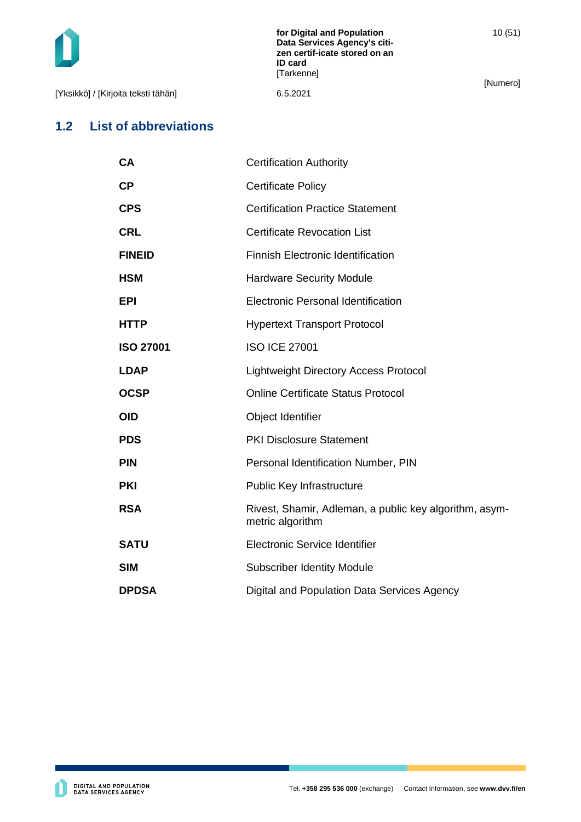10 (51)

[Yksikkö] / [Kirjoita teksti tähän] 6.5.2021

[Numero]

## <span id="page-10-0"></span>**1.2 List of abbreviations**

| СA               | <b>Certification Authority</b>                                             |
|------------------|----------------------------------------------------------------------------|
| СP               | <b>Certificate Policy</b>                                                  |
| <b>CPS</b>       | <b>Certification Practice Statement</b>                                    |
| CRL              | <b>Certificate Revocation List</b>                                         |
| <b>FINEID</b>    | <b>Finnish Electronic Identification</b>                                   |
| HSM              | <b>Hardware Security Module</b>                                            |
| EPI              | <b>Electronic Personal Identification</b>                                  |
| HTTP             | <b>Hypertext Transport Protocol</b>                                        |
| <b>ISO 27001</b> | <b>ISO ICE 27001</b>                                                       |
| <b>LDAP</b>      | <b>Lightweight Directory Access Protocol</b>                               |
| <b>OCSP</b>      | <b>Online Certificate Status Protocol</b>                                  |
| OID              | Object Identifier                                                          |
| <b>PDS</b>       | <b>PKI Disclosure Statement</b>                                            |
| PIN              | Personal Identification Number, PIN                                        |
| PKI              | <b>Public Key Infrastructure</b>                                           |
| RSA              | Rivest, Shamir, Adleman, a public key algorithm, asym-<br>metric algorithm |
| <b>SATU</b>      | <b>Electronic Service Identifier</b>                                       |
| <b>SIM</b>       | <b>Subscriber Identity Module</b>                                          |
| <b>DPDSA</b>     | Digital and Population Data Services Agency                                |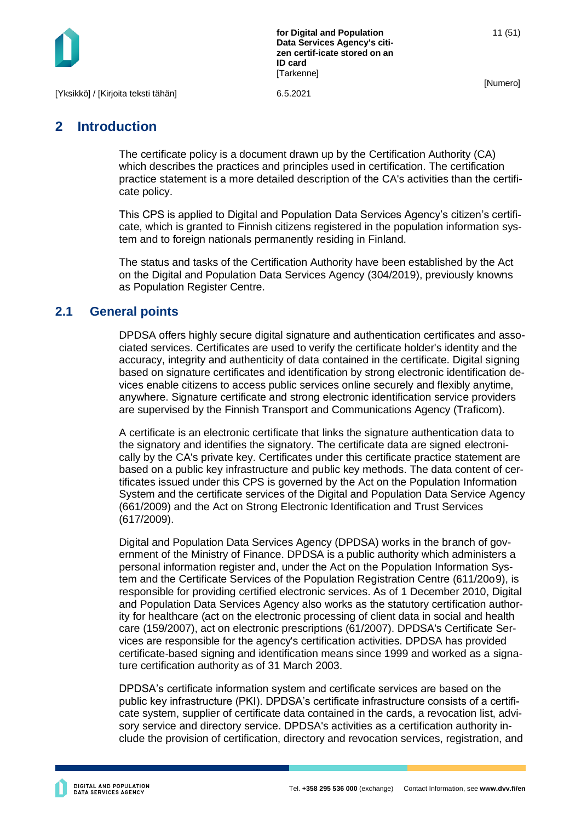

11 (51)

[Numero]

## <span id="page-11-0"></span>**2 Introduction**

The certificate policy is a document drawn up by the Certification Authority (CA) which describes the practices and principles used in certification. The certification practice statement is a more detailed description of the CA's activities than the certificate policy.

This CPS is applied to Digital and Population Data Services Agency's citizen's certificate, which is granted to Finnish citizens registered in the population information system and to foreign nationals permanently residing in Finland.

The status and tasks of the Certification Authority have been established by the Act on the Digital and Population Data Services Agency (304/2019), previously knowns as Population Register Centre.

## <span id="page-11-1"></span>**2.1 General points**

DPDSA offers highly secure digital signature and authentication certificates and associated services. Certificates are used to verify the certificate holder's identity and the accuracy, integrity and authenticity of data contained in the certificate. Digital signing based on signature certificates and identification by strong electronic identification devices enable citizens to access public services online securely and flexibly anytime, anywhere. Signature certificate and strong electronic identification service providers are supervised by the Finnish Transport and Communications Agency (Traficom).

A certificate is an electronic certificate that links the signature authentication data to the signatory and identifies the signatory. The certificate data are signed electronically by the CA's private key. Certificates under this certificate practice statement are based on a public key infrastructure and public key methods. The data content of certificates issued under this CPS is governed by the Act on the Population Information System and the certificate services of the Digital and Population Data Service Agency (661/2009) and the Act on Strong Electronic Identification and Trust Services (617/2009).

Digital and Population Data Services Agency (DPDSA) works in the branch of government of the Ministry of Finance. DPDSA is a public authority which administers a personal information register and, under the Act on the Population Information System and the Certificate Services of the Population Registration Centre (611/20o9), is responsible for providing certified electronic services. As of 1 December 2010, Digital and Population Data Services Agency also works as the statutory certification authority for healthcare (act on the electronic processing of client data in social and health care (159/2007), act on electronic prescriptions (61/2007). DPDSA's Certificate Services are responsible for the agency's certification activities. DPDSA has provided certificate-based signing and identification means since 1999 and worked as a signature certification authority as of 31 March 2003.

DPDSA's certificate information system and certificate services are based on the public key infrastructure (PKI). DPDSA's certificate infrastructure consists of a certificate system, supplier of certificate data contained in the cards, a revocation list, advisory service and directory service. DPDSA's activities as a certification authority include the provision of certification, directory and revocation services, registration, and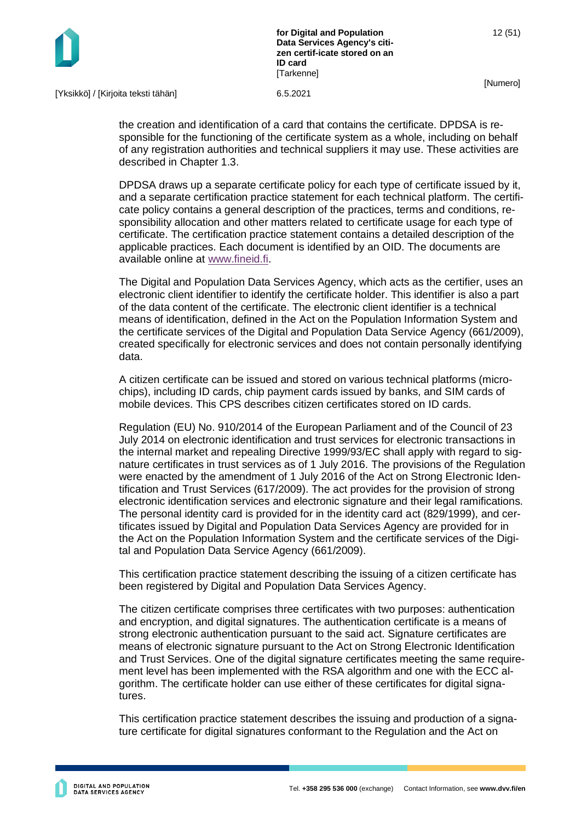

[Yksikkö] / [Kirjoita teksti tähän] 6.5.2021

the creation and identification of a card that contains the certificate. DPDSA is responsible for the functioning of the certificate system as a whole, including on behalf of any registration authorities and technical suppliers it may use. These activities are described in Chapter 1.3.

DPDSA draws up a separate certificate policy for each type of certificate issued by it, and a separate certification practice statement for each technical platform. The certificate policy contains a general description of the practices, terms and conditions, responsibility allocation and other matters related to certificate usage for each type of certificate. The certification practice statement contains a detailed description of the applicable practices. Each document is identified by an OID. The documents are available online at [www.fineid.fi.](http://www.fineid.fi/)

The Digital and Population Data Services Agency, which acts as the certifier, uses an electronic client identifier to identify the certificate holder. This identifier is also a part of the data content of the certificate. The electronic client identifier is a technical means of identification, defined in the Act on the Population Information System and the certificate services of the Digital and Population Data Service Agency (661/2009), created specifically for electronic services and does not contain personally identifying data.

A citizen certificate can be issued and stored on various technical platforms (microchips), including ID cards, chip payment cards issued by banks, and SIM cards of mobile devices. This CPS describes citizen certificates stored on ID cards.

Regulation (EU) No. 910/2014 of the European Parliament and of the Council of 23 July 2014 on electronic identification and trust services for electronic transactions in the internal market and repealing Directive 1999/93/EC shall apply with regard to signature certificates in trust services as of 1 July 2016. The provisions of the Regulation were enacted by the amendment of 1 July 2016 of the Act on Strong Electronic Identification and Trust Services (617/2009). The act provides for the provision of strong electronic identification services and electronic signature and their legal ramifications. The personal identity card is provided for in the identity card act (829/1999), and certificates issued by Digital and Population Data Services Agency are provided for in the Act on the Population Information System and the certificate services of the Digital and Population Data Service Agency (661/2009).

This certification practice statement describing the issuing of a citizen certificate has been registered by Digital and Population Data Services Agency.

The citizen certificate comprises three certificates with two purposes: authentication and encryption, and digital signatures. The authentication certificate is a means of strong electronic authentication pursuant to the said act. Signature certificates are means of electronic signature pursuant to the Act on Strong Electronic Identification and Trust Services. One of the digital signature certificates meeting the same requirement level has been implemented with the RSA algorithm and one with the ECC algorithm. The certificate holder can use either of these certificates for digital signatures.

This certification practice statement describes the issuing and production of a signature certificate for digital signatures conformant to the Regulation and the Act on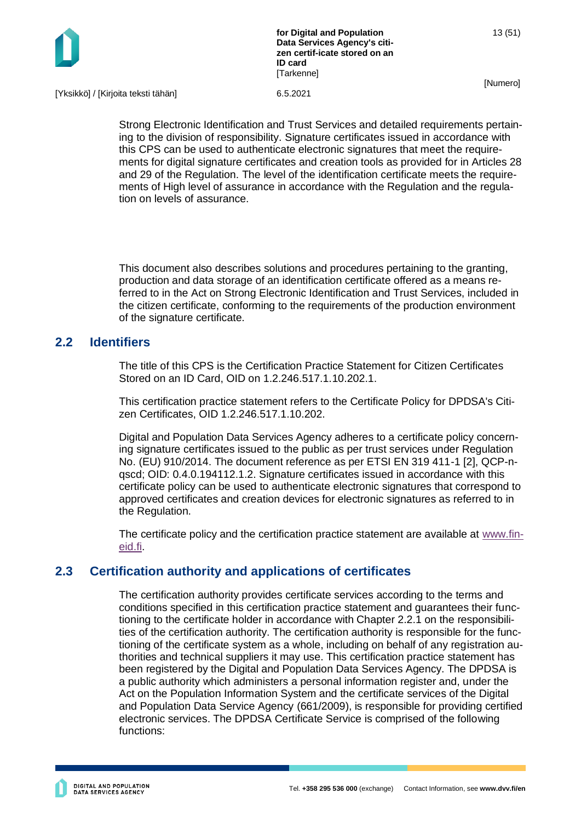

**for Digital and Population Data Services Agency's citizen certif-icate stored on an ID card [Tarkenne]** 

13 (51)

[Numero]

[Yksikkö] / [Kirjoita teksti tähän] 6.5.2021

Strong Electronic Identification and Trust Services and detailed requirements pertaining to the division of responsibility. Signature certificates issued in accordance with this CPS can be used to authenticate electronic signatures that meet the requirements for digital signature certificates and creation tools as provided for in Articles 28 and 29 of the Regulation. The level of the identification certificate meets the requirements of High level of assurance in accordance with the Regulation and the regulation on levels of assurance.

This document also describes solutions and procedures pertaining to the granting, production and data storage of an identification certificate offered as a means referred to in the Act on Strong Electronic Identification and Trust Services, included in the citizen certificate, conforming to the requirements of the production environment of the signature certificate.

## <span id="page-13-0"></span>**2.2 Identifiers**

The title of this CPS is the Certification Practice Statement for Citizen Certificates Stored on an ID Card, OID on 1.2.246.517.1.10.202.1.

This certification practice statement refers to the Certificate Policy for DPDSA's Citizen Certificates, OID 1.2.246.517.1.10.202.

Digital and Population Data Services Agency adheres to a certificate policy concerning signature certificates issued to the public as per trust services under Regulation No. (EU) 910/2014. The document reference as per ETSI EN 319 411-1 [2], QCP-nqscd; OID: 0.4.0.194112.1.2. Signature certificates issued in accordance with this certificate policy can be used to authenticate electronic signatures that correspond to approved certificates and creation devices for electronic signatures as referred to in the Regulation.

The certificate policy and the certification practice statement are available at [www.fin](http://www.fineid.fi/)[eid.fi.](http://www.fineid.fi/)

## <span id="page-13-1"></span>**2.3 Certification authority and applications of certificates**

The certification authority provides certificate services according to the terms and conditions specified in this certification practice statement and guarantees their functioning to the certificate holder in accordance with Chapter 2.2.1 on the responsibilities of the certification authority. The certification authority is responsible for the functioning of the certificate system as a whole, including on behalf of any registration authorities and technical suppliers it may use. This certification practice statement has been registered by the Digital and Population Data Services Agency. The DPDSA is a public authority which administers a personal information register and, under the Act on the Population Information System and the certificate services of the Digital and Population Data Service Agency (661/2009), is responsible for providing certified electronic services. The DPDSA Certificate Service is comprised of the following functions: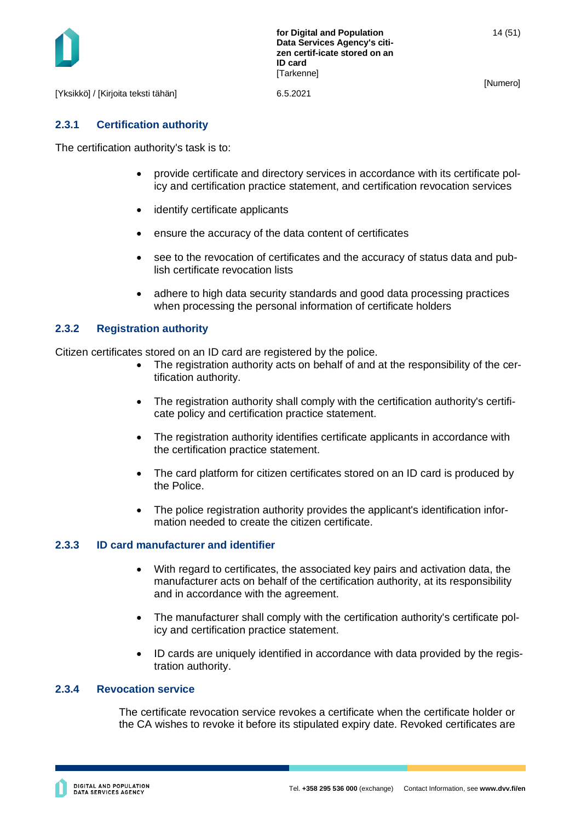

[Yksikkö] / [Kirjoita teksti tähän] 6.5.2021

#### <span id="page-14-0"></span>**2.3.1 Certification authority**

The certification authority's task is to:

- provide certificate and directory services in accordance with its certificate policy and certification practice statement, and certification revocation services
- identify certificate applicants
- ensure the accuracy of the data content of certificates
- see to the revocation of certificates and the accuracy of status data and publish certificate revocation lists
- adhere to high data security standards and good data processing practices when processing the personal information of certificate holders

#### <span id="page-14-1"></span>**2.3.2 Registration authority**

Citizen certificates stored on an ID card are registered by the police.

- The registration authority acts on behalf of and at the responsibility of the certification authority.
- The registration authority shall comply with the certification authority's certificate policy and certification practice statement.
- The registration authority identifies certificate applicants in accordance with the certification practice statement.
- The card platform for citizen certificates stored on an ID card is produced by the Police.
- The police registration authority provides the applicant's identification information needed to create the citizen certificate.

#### <span id="page-14-2"></span>**2.3.3 ID card manufacturer and identifier**

- With regard to certificates, the associated key pairs and activation data, the manufacturer acts on behalf of the certification authority, at its responsibility and in accordance with the agreement.
- The manufacturer shall comply with the certification authority's certificate policy and certification practice statement.
- ID cards are uniquely identified in accordance with data provided by the registration authority.

#### <span id="page-14-3"></span>**2.3.4 Revocation service**

The certificate revocation service revokes a certificate when the certificate holder or the CA wishes to revoke it before its stipulated expiry date. Revoked certificates are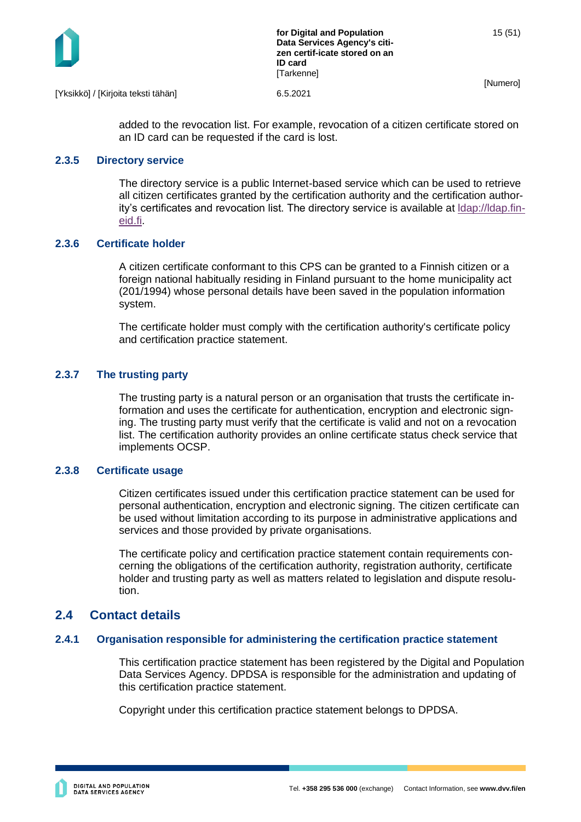

added to the revocation list. For example, revocation of a citizen certificate stored on an ID card can be requested if the card is lost.

#### <span id="page-15-0"></span>**2.3.5 Directory service**

The directory service is a public Internet-based service which can be used to retrieve all citizen certificates granted by the certification authority and the certification authority's certificates and revocation list. The directory service is available at [ldap://ldap.fin](ldap://ldap.fineid.fi/)[eid.fi.](ldap://ldap.fineid.fi/)

#### <span id="page-15-1"></span>**2.3.6 Certificate holder**

A citizen certificate conformant to this CPS can be granted to a Finnish citizen or a foreign national habitually residing in Finland pursuant to the home municipality act (201/1994) whose personal details have been saved in the population information system.

The certificate holder must comply with the certification authority's certificate policy and certification practice statement.

#### <span id="page-15-2"></span>**2.3.7 The trusting party**

The trusting party is a natural person or an organisation that trusts the certificate information and uses the certificate for authentication, encryption and electronic signing. The trusting party must verify that the certificate is valid and not on a revocation list. The certification authority provides an online certificate status check service that implements OCSP.

#### <span id="page-15-3"></span>**2.3.8 Certificate usage**

Citizen certificates issued under this certification practice statement can be used for personal authentication, encryption and electronic signing. The citizen certificate can be used without limitation according to its purpose in administrative applications and services and those provided by private organisations.

The certificate policy and certification practice statement contain requirements concerning the obligations of the certification authority, registration authority, certificate holder and trusting party as well as matters related to legislation and dispute resolution.

## <span id="page-15-4"></span>**2.4 Contact details**

#### <span id="page-15-5"></span>**2.4.1 Organisation responsible for administering the certification practice statement**

This certification practice statement has been registered by the Digital and Population Data Services Agency. DPDSA is responsible for the administration and updating of this certification practice statement.

Copyright under this certification practice statement belongs to DPDSA.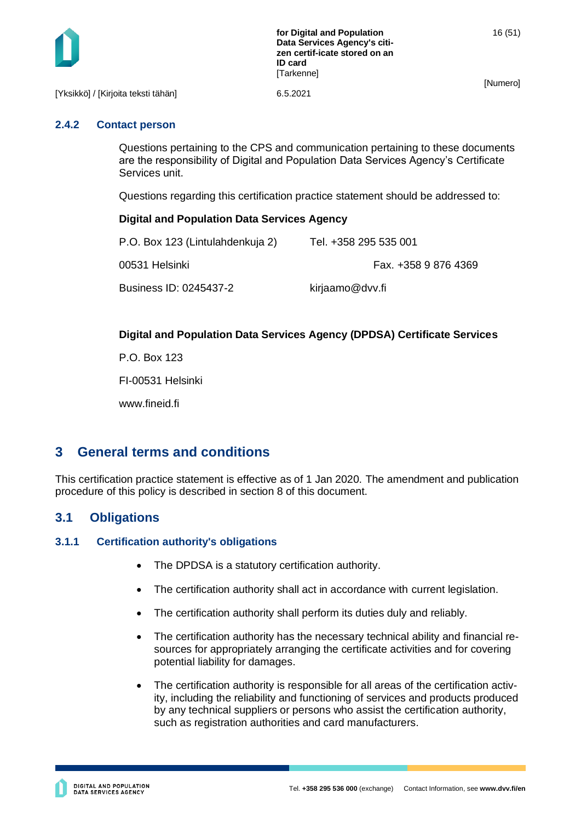

[Yksikkö] / [Kirjoita teksti tähän] 6.5.2021

#### <span id="page-16-0"></span>**2.4.2 Contact person**

Questions pertaining to the CPS and communication pertaining to these documents are the responsibility of Digital and Population Data Services Agency's Certificate Services unit.

Questions regarding this certification practice statement should be addressed to:

#### **Digital and Population Data Services Agency**

| P.O. Box 123 (Lintulahdenkuja 2) | Tel. +358 295 535 001 |
|----------------------------------|-----------------------|
| 00531 Helsinki                   | Fax. +358 9 876 4369  |
| Business ID: 0245437-2           | kirjaamo@dvv.fi       |

## **Digital and Population Data Services Agency (DPDSA) Certificate Services**

P.O. Box 123

FI-00531 Helsinki

www.fineid.fi

## <span id="page-16-1"></span>**3 General terms and conditions**

This certification practice statement is effective as of 1 Jan 2020. The amendment and publication procedure of this policy is described in section 8 of this document.

## <span id="page-16-2"></span>**3.1 Obligations**

#### <span id="page-16-3"></span>**3.1.1 Certification authority's obligations**

- The DPDSA is a statutory certification authority.
- The certification authority shall act in accordance with current legislation.
- The certification authority shall perform its duties duly and reliably.
- The certification authority has the necessary technical ability and financial resources for appropriately arranging the certificate activities and for covering potential liability for damages.
- The certification authority is responsible for all areas of the certification activity, including the reliability and functioning of services and products produced by any technical suppliers or persons who assist the certification authority, such as registration authorities and card manufacturers.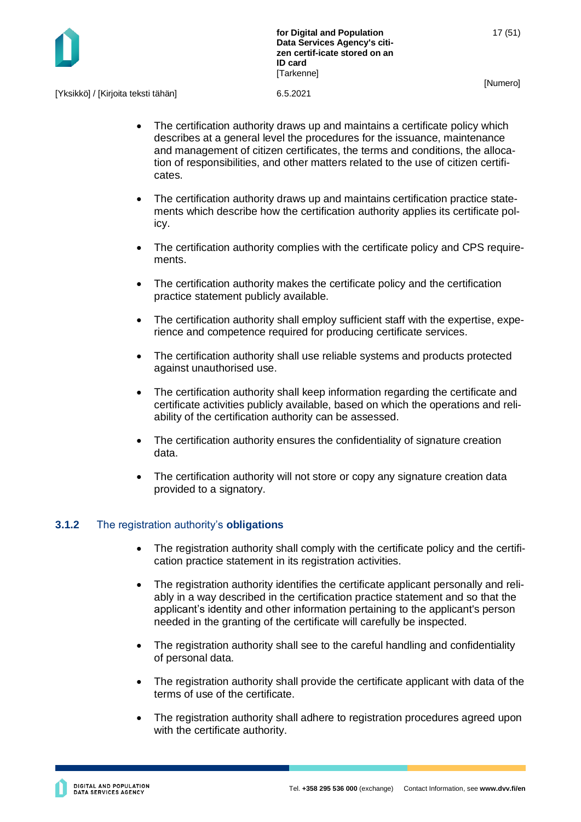

[Yksikkö] / [Kirjoita teksti tähän] 6.5.2021

- The certification authority draws up and maintains a certificate policy which describes at a general level the procedures for the issuance, maintenance and management of citizen certificates, the terms and conditions, the allocation of responsibilities, and other matters related to the use of citizen certificates.
- The certification authority draws up and maintains certification practice statements which describe how the certification authority applies its certificate policy.
- The certification authority complies with the certificate policy and CPS requirements.
- The certification authority makes the certificate policy and the certification practice statement publicly available.
- The certification authority shall employ sufficient staff with the expertise, experience and competence required for producing certificate services.
- The certification authority shall use reliable systems and products protected against unauthorised use.
- The certification authority shall keep information regarding the certificate and certificate activities publicly available, based on which the operations and reliability of the certification authority can be assessed.
- The certification authority ensures the confidentiality of signature creation data.
- The certification authority will not store or copy any signature creation data provided to a signatory.

#### <span id="page-17-0"></span>**3.1.2** The registration authority's **obligations**

- The registration authority shall comply with the certificate policy and the certification practice statement in its registration activities.
- The registration authority identifies the certificate applicant personally and reliably in a way described in the certification practice statement and so that the applicant's identity and other information pertaining to the applicant's person needed in the granting of the certificate will carefully be inspected.
- The registration authority shall see to the careful handling and confidentiality of personal data.
- The registration authority shall provide the certificate applicant with data of the terms of use of the certificate.
- The registration authority shall adhere to registration procedures agreed upon with the certificate authority.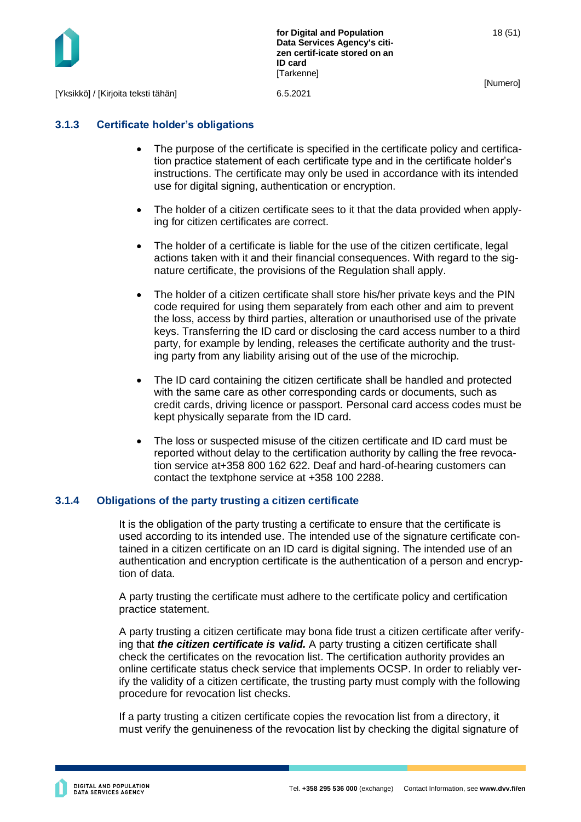

18 (51)

[Numero]

## <span id="page-18-0"></span>**3.1.3 Certificate holder's obligations**

- The purpose of the certificate is specified in the certificate policy and certification practice statement of each certificate type and in the certificate holder's instructions. The certificate may only be used in accordance with its intended use for digital signing, authentication or encryption.
- The holder of a citizen certificate sees to it that the data provided when applying for citizen certificates are correct.
- The holder of a certificate is liable for the use of the citizen certificate, legal actions taken with it and their financial consequences. With regard to the signature certificate, the provisions of the Regulation shall apply.
- The holder of a citizen certificate shall store his/her private keys and the PIN code required for using them separately from each other and aim to prevent the loss, access by third parties, alteration or unauthorised use of the private keys. Transferring the ID card or disclosing the card access number to a third party, for example by lending, releases the certificate authority and the trusting party from any liability arising out of the use of the microchip.
- The ID card containing the citizen certificate shall be handled and protected with the same care as other corresponding cards or documents, such as credit cards, driving licence or passport. Personal card access codes must be kept physically separate from the ID card.
- The loss or suspected misuse of the citizen certificate and ID card must be reported without delay to the certification authority by calling the free revocation service at+358 800 162 622. Deaf and hard-of-hearing customers can contact the textphone service at +358 100 2288.

## <span id="page-18-1"></span>**3.1.4 Obligations of the party trusting a citizen certificate**

It is the obligation of the party trusting a certificate to ensure that the certificate is used according to its intended use. The intended use of the signature certificate contained in a citizen certificate on an ID card is digital signing. The intended use of an authentication and encryption certificate is the authentication of a person and encryption of data.

A party trusting the certificate must adhere to the certificate policy and certification practice statement.

A party trusting a citizen certificate may bona fide trust a citizen certificate after verifying that *the citizen certificate is valid.* A party trusting a citizen certificate shall check the certificates on the revocation list. The certification authority provides an online certificate status check service that implements OCSP. In order to reliably verify the validity of a citizen certificate, the trusting party must comply with the following procedure for revocation list checks.

If a party trusting a citizen certificate copies the revocation list from a directory, it must verify the genuineness of the revocation list by checking the digital signature of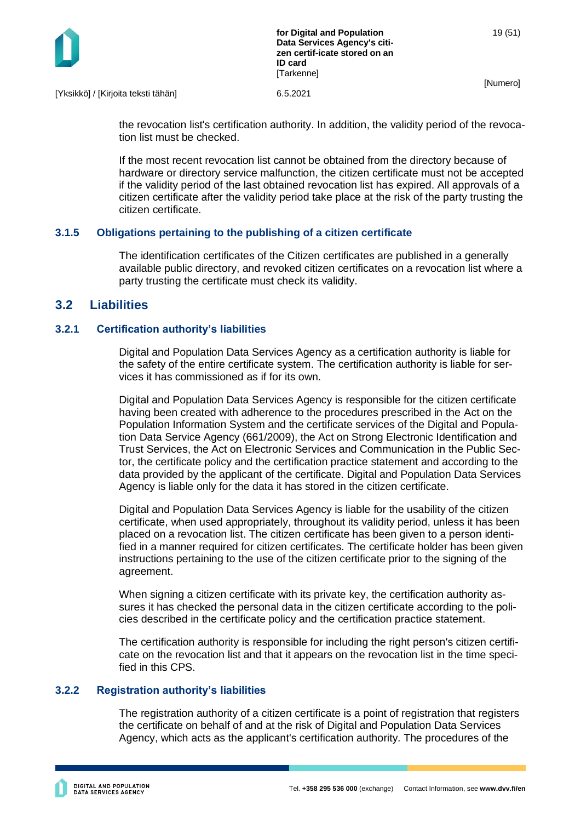

[Yksikkö] / [Kirjoita teksti tähän] 6.5.2021

the revocation list's certification authority. In addition, the validity period of the revocation list must be checked.

If the most recent revocation list cannot be obtained from the directory because of hardware or directory service malfunction, the citizen certificate must not be accepted if the validity period of the last obtained revocation list has expired. All approvals of a citizen certificate after the validity period take place at the risk of the party trusting the citizen certificate.

#### <span id="page-19-0"></span>**3.1.5 Obligations pertaining to the publishing of a citizen certificate**

The identification certificates of the Citizen certificates are published in a generally available public directory, and revoked citizen certificates on a revocation list where a party trusting the certificate must check its validity.

## <span id="page-19-1"></span>**3.2 Liabilities**

#### <span id="page-19-2"></span>**3.2.1 Certification authority's liabilities**

Digital and Population Data Services Agency as a certification authority is liable for the safety of the entire certificate system. The certification authority is liable for services it has commissioned as if for its own.

Digital and Population Data Services Agency is responsible for the citizen certificate having been created with adherence to the procedures prescribed in the Act on the Population Information System and the certificate services of the Digital and Population Data Service Agency (661/2009), the Act on Strong Electronic Identification and Trust Services, the Act on Electronic Services and Communication in the Public Sector, the certificate policy and the certification practice statement and according to the data provided by the applicant of the certificate. Digital and Population Data Services Agency is liable only for the data it has stored in the citizen certificate.

Digital and Population Data Services Agency is liable for the usability of the citizen certificate, when used appropriately, throughout its validity period, unless it has been placed on a revocation list. The citizen certificate has been given to a person identified in a manner required for citizen certificates. The certificate holder has been given instructions pertaining to the use of the citizen certificate prior to the signing of the agreement.

When signing a citizen certificate with its private key, the certification authority assures it has checked the personal data in the citizen certificate according to the policies described in the certificate policy and the certification practice statement.

The certification authority is responsible for including the right person's citizen certificate on the revocation list and that it appears on the revocation list in the time specified in this CPS.

#### <span id="page-19-3"></span>**3.2.2 Registration authority's liabilities**

The registration authority of a citizen certificate is a point of registration that registers the certificate on behalf of and at the risk of Digital and Population Data Services Agency, which acts as the applicant's certification authority. The procedures of the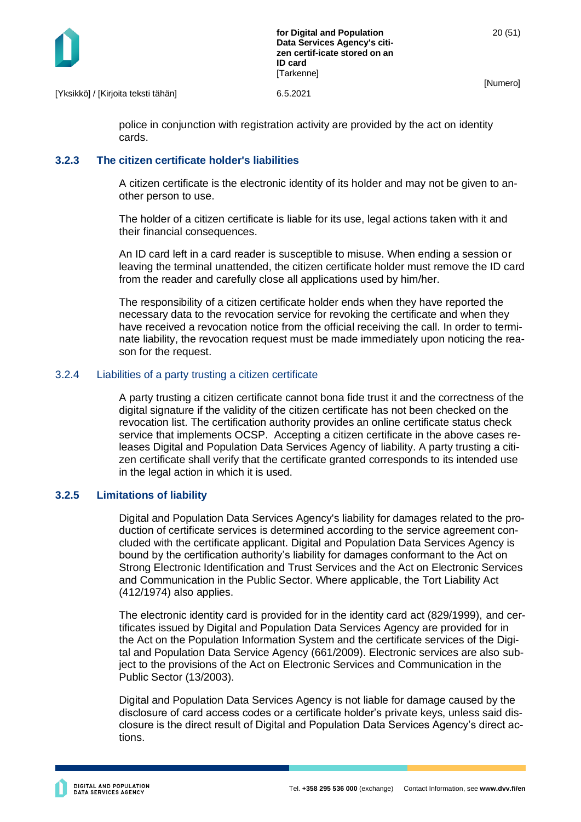

[Yksikkö] / [Kirjoita teksti tähän] 6.5.2021

police in conjunction with registration activity are provided by the act on identity cards.

#### <span id="page-20-0"></span>**3.2.3 The citizen certificate holder's liabilities**

A citizen certificate is the electronic identity of its holder and may not be given to another person to use.

The holder of a citizen certificate is liable for its use, legal actions taken with it and their financial consequences.

An ID card left in a card reader is susceptible to misuse. When ending a session or leaving the terminal unattended, the citizen certificate holder must remove the ID card from the reader and carefully close all applications used by him/her.

The responsibility of a citizen certificate holder ends when they have reported the necessary data to the revocation service for revoking the certificate and when they have received a revocation notice from the official receiving the call. In order to terminate liability, the revocation request must be made immediately upon noticing the reason for the request.

#### <span id="page-20-1"></span>3.2.4 Liabilities of a party trusting a citizen certificate

A party trusting a citizen certificate cannot bona fide trust it and the correctness of the digital signature if the validity of the citizen certificate has not been checked on the revocation list. The certification authority provides an online certificate status check service that implements OCSP. Accepting a citizen certificate in the above cases releases Digital and Population Data Services Agency of liability. A party trusting a citizen certificate shall verify that the certificate granted corresponds to its intended use in the legal action in which it is used.

#### <span id="page-20-2"></span>**3.2.5 Limitations of liability**

Digital and Population Data Services Agency's liability for damages related to the production of certificate services is determined according to the service agreement concluded with the certificate applicant. Digital and Population Data Services Agency is bound by the certification authority's liability for damages conformant to the Act on Strong Electronic Identification and Trust Services and the Act on Electronic Services and Communication in the Public Sector. Where applicable, the Tort Liability Act (412/1974) also applies.

The electronic identity card is provided for in the identity card act (829/1999), and certificates issued by Digital and Population Data Services Agency are provided for in the Act on the Population Information System and the certificate services of the Digital and Population Data Service Agency (661/2009). Electronic services are also subject to the provisions of the Act on Electronic Services and Communication in the Public Sector (13/2003).

Digital and Population Data Services Agency is not liable for damage caused by the disclosure of card access codes or a certificate holder's private keys, unless said disclosure is the direct result of Digital and Population Data Services Agency's direct actions.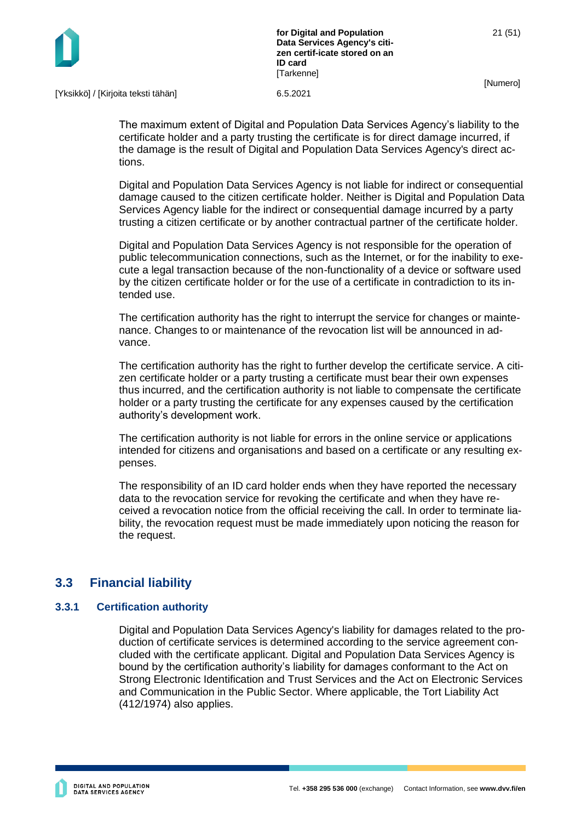

[Yksikkö] / [Kirjoita teksti tähän] 6.5.2021

The maximum extent of Digital and Population Data Services Agency's liability to the certificate holder and a party trusting the certificate is for direct damage incurred, if the damage is the result of Digital and Population Data Services Agency's direct actions.

Digital and Population Data Services Agency is not liable for indirect or consequential damage caused to the citizen certificate holder. Neither is Digital and Population Data Services Agency liable for the indirect or consequential damage incurred by a party trusting a citizen certificate or by another contractual partner of the certificate holder.

Digital and Population Data Services Agency is not responsible for the operation of public telecommunication connections, such as the Internet, or for the inability to execute a legal transaction because of the non-functionality of a device or software used by the citizen certificate holder or for the use of a certificate in contradiction to its intended use.

The certification authority has the right to interrupt the service for changes or maintenance. Changes to or maintenance of the revocation list will be announced in advance.

The certification authority has the right to further develop the certificate service. A citizen certificate holder or a party trusting a certificate must bear their own expenses thus incurred, and the certification authority is not liable to compensate the certificate holder or a party trusting the certificate for any expenses caused by the certification authority's development work.

The certification authority is not liable for errors in the online service or applications intended for citizens and organisations and based on a certificate or any resulting expenses.

The responsibility of an ID card holder ends when they have reported the necessary data to the revocation service for revoking the certificate and when they have received a revocation notice from the official receiving the call. In order to terminate liability, the revocation request must be made immediately upon noticing the reason for the request.

## <span id="page-21-0"></span>**3.3 Financial liability**

#### <span id="page-21-1"></span>**3.3.1 Certification authority**

Digital and Population Data Services Agency's liability for damages related to the production of certificate services is determined according to the service agreement concluded with the certificate applicant. Digital and Population Data Services Agency is bound by the certification authority's liability for damages conformant to the Act on Strong Electronic Identification and Trust Services and the Act on Electronic Services and Communication in the Public Sector. Where applicable, the Tort Liability Act (412/1974) also applies.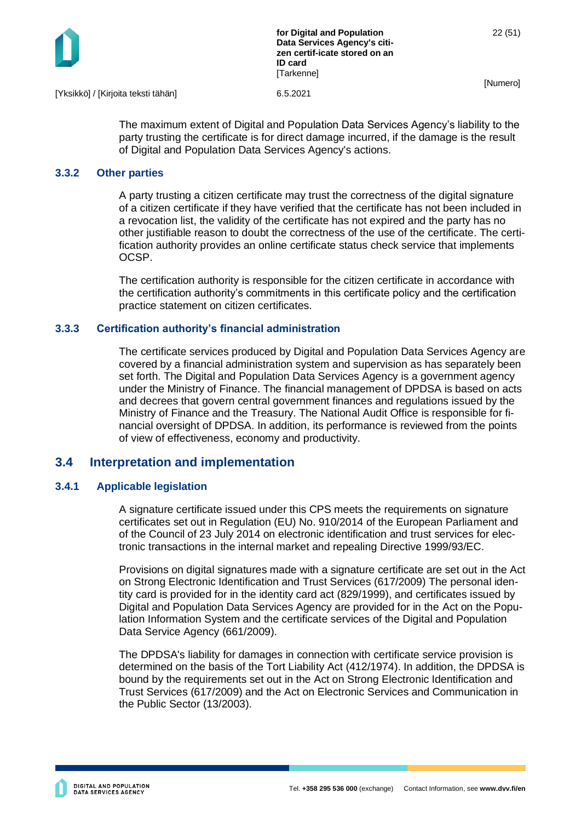

[Yksikkö] / [Kirjoita teksti tähän] 6.5.2021

The maximum extent of Digital and Population Data Services Agency's liability to the party trusting the certificate is for direct damage incurred, if the damage is the result of Digital and Population Data Services Agency's actions.

#### <span id="page-22-0"></span>**3.3.2 Other parties**

A party trusting a citizen certificate may trust the correctness of the digital signature of a citizen certificate if they have verified that the certificate has not been included in a revocation list, the validity of the certificate has not expired and the party has no other justifiable reason to doubt the correctness of the use of the certificate. The certification authority provides an online certificate status check service that implements OCSP.

The certification authority is responsible for the citizen certificate in accordance with the certification authority's commitments in this certificate policy and the certification practice statement on citizen certificates.

#### <span id="page-22-1"></span>**3.3.3 Certification authority's financial administration**

The certificate services produced by Digital and Population Data Services Agency are covered by a financial administration system and supervision as has separately been set forth. The Digital and Population Data Services Agency is a government agency under the Ministry of Finance. The financial management of DPDSA is based on acts and decrees that govern central government finances and regulations issued by the Ministry of Finance and the Treasury. The National Audit Office is responsible for financial oversight of DPDSA. In addition, its performance is reviewed from the points of view of effectiveness, economy and productivity.

## <span id="page-22-2"></span>**3.4 Interpretation and implementation**

#### <span id="page-22-3"></span>**3.4.1 Applicable legislation**

A signature certificate issued under this CPS meets the requirements on signature certificates set out in Regulation (EU) No. 910/2014 of the European Parliament and of the Council of 23 July 2014 on electronic identification and trust services for electronic transactions in the internal market and repealing Directive 1999/93/EC.

Provisions on digital signatures made with a signature certificate are set out in the Act on Strong Electronic Identification and Trust Services (617/2009) The personal identity card is provided for in the identity card act (829/1999), and certificates issued by Digital and Population Data Services Agency are provided for in the Act on the Population Information System and the certificate services of the Digital and Population Data Service Agency (661/2009).

The DPDSA's liability for damages in connection with certificate service provision is determined on the basis of the Tort Liability Act (412/1974). In addition, the DPDSA is bound by the requirements set out in the Act on Strong Electronic Identification and Trust Services (617/2009) and the Act on Electronic Services and Communication in the Public Sector (13/2003).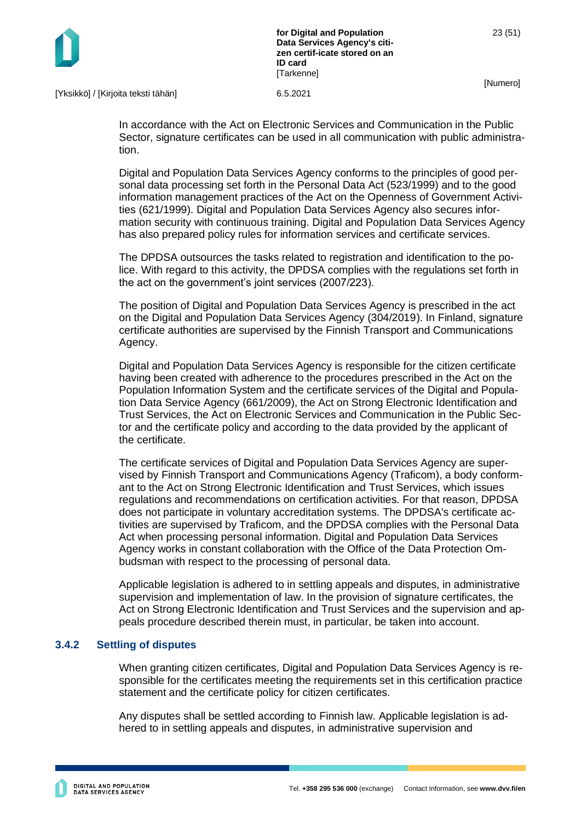

[Yksikkö] / [Kirjoita teksti tähän] 6.5.2021

In accordance with the Act on Electronic Services and Communication in the Public Sector, signature certificates can be used in all communication with public administration.

Digital and Population Data Services Agency conforms to the principles of good personal data processing set forth in the Personal Data Act (523/1999) and to the good information management practices of the Act on the Openness of Government Activities (621/1999). Digital and Population Data Services Agency also secures information security with continuous training. Digital and Population Data Services Agency has also prepared policy rules for information services and certificate services.

The DPDSA outsources the tasks related to registration and identification to the police. With regard to this activity, the DPDSA complies with the regulations set forth in the act on the government's joint services (2007/223).

The position of Digital and Population Data Services Agency is prescribed in the act on the Digital and Population Data Services Agency (304/2019). In Finland, signature certificate authorities are supervised by the Finnish Transport and Communications Agency.

Digital and Population Data Services Agency is responsible for the citizen certificate having been created with adherence to the procedures prescribed in the Act on the Population Information System and the certificate services of the Digital and Population Data Service Agency (661/2009), the Act on Strong Electronic Identification and Trust Services, the Act on Electronic Services and Communication in the Public Sector and the certificate policy and according to the data provided by the applicant of the certificate.

The certificate services of Digital and Population Data Services Agency are supervised by Finnish Transport and Communications Agency (Traficom), a body conformant to the Act on Strong Electronic Identification and Trust Services, which issues regulations and recommendations on certification activities. For that reason, DPDSA does not participate in voluntary accreditation systems. The DPDSA's certificate activities are supervised by Traficom, and the DPDSA complies with the Personal Data Act when processing personal information. Digital and Population Data Services Agency works in constant collaboration with the Office of the Data Protection Ombudsman with respect to the processing of personal data.

Applicable legislation is adhered to in settling appeals and disputes, in administrative supervision and implementation of law. In the provision of signature certificates, the Act on Strong Electronic Identification and Trust Services and the supervision and appeals procedure described therein must, in particular, be taken into account.

#### <span id="page-23-0"></span>**3.4.2 Settling of disputes**

When granting citizen certificates, Digital and Population Data Services Agency is responsible for the certificates meeting the requirements set in this certification practice statement and the certificate policy for citizen certificates.

Any disputes shall be settled according to Finnish law. Applicable legislation is adhered to in settling appeals and disputes, in administrative supervision and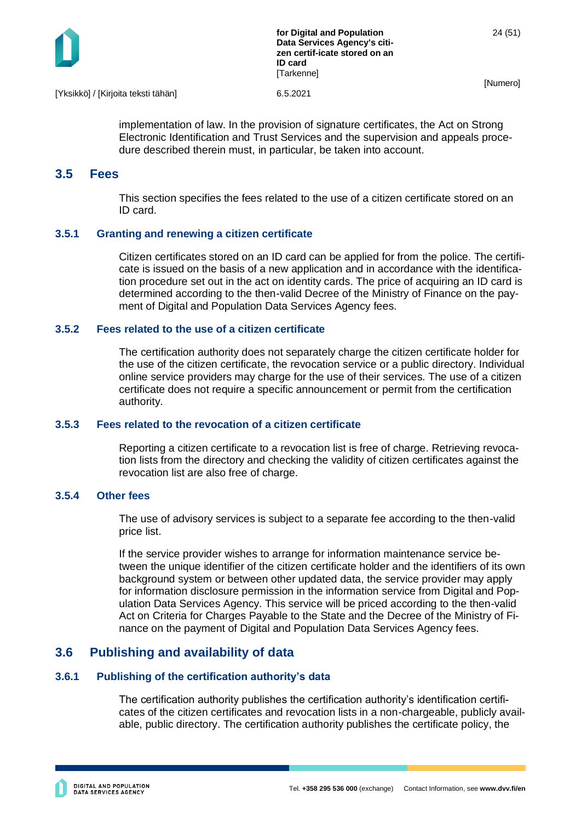

implementation of law. In the provision of signature certificates, the Act on Strong Electronic Identification and Trust Services and the supervision and appeals procedure described therein must, in particular, be taken into account.

## <span id="page-24-0"></span>**3.5 Fees**

This section specifies the fees related to the use of a citizen certificate stored on an ID card.

#### <span id="page-24-1"></span>**3.5.1 Granting and renewing a citizen certificate**

Citizen certificates stored on an ID card can be applied for from the police. The certificate is issued on the basis of a new application and in accordance with the identification procedure set out in the act on identity cards. The price of acquiring an ID card is determined according to the then-valid Decree of the Ministry of Finance on the payment of Digital and Population Data Services Agency fees.

#### <span id="page-24-2"></span>**3.5.2 Fees related to the use of a citizen certificate**

The certification authority does not separately charge the citizen certificate holder for the use of the citizen certificate, the revocation service or a public directory. Individual online service providers may charge for the use of their services. The use of a citizen certificate does not require a specific announcement or permit from the certification authority.

#### <span id="page-24-3"></span>**3.5.3 Fees related to the revocation of a citizen certificate**

Reporting a citizen certificate to a revocation list is free of charge. Retrieving revocation lists from the directory and checking the validity of citizen certificates against the revocation list are also free of charge.

#### <span id="page-24-4"></span>**3.5.4 Other fees**

The use of advisory services is subject to a separate fee according to the then-valid price list.

If the service provider wishes to arrange for information maintenance service between the unique identifier of the citizen certificate holder and the identifiers of its own background system or between other updated data, the service provider may apply for information disclosure permission in the information service from Digital and Population Data Services Agency. This service will be priced according to the then-valid Act on Criteria for Charges Payable to the State and the Decree of the Ministry of Finance on the payment of Digital and Population Data Services Agency fees.

## <span id="page-24-5"></span>**3.6 Publishing and availability of data**

#### <span id="page-24-6"></span>**3.6.1 Publishing of the certification authority's data**

The certification authority publishes the certification authority's identification certificates of the citizen certificates and revocation lists in a non-chargeable, publicly available, public directory. The certification authority publishes the certificate policy, the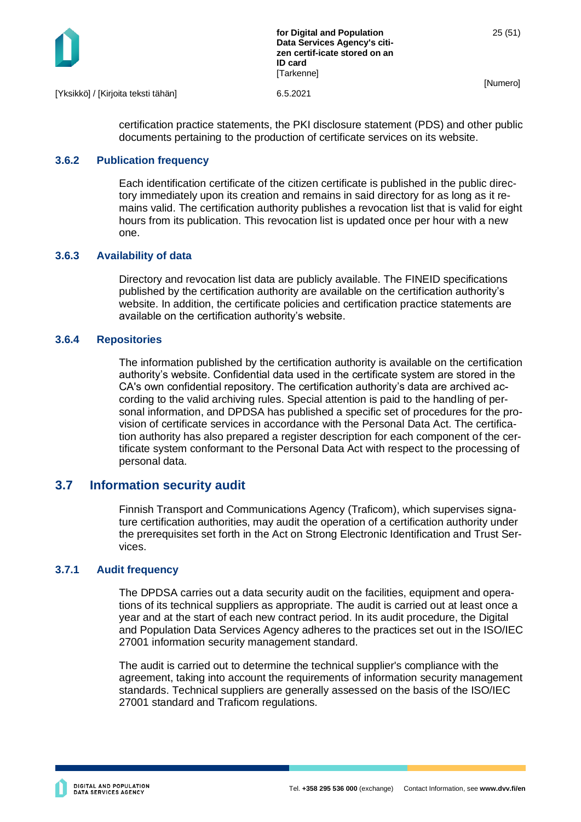

[Yksikkö] / [Kirjoita teksti tähän] 6.5.2021

certification practice statements, the PKI disclosure statement (PDS) and other public documents pertaining to the production of certificate services on its website.

#### <span id="page-25-0"></span>**3.6.2 Publication frequency**

Each identification certificate of the citizen certificate is published in the public directory immediately upon its creation and remains in said directory for as long as it remains valid. The certification authority publishes a revocation list that is valid for eight hours from its publication. This revocation list is updated once per hour with a new one.

## <span id="page-25-1"></span>**3.6.3 Availability of data**

Directory and revocation list data are publicly available. The FINEID specifications published by the certification authority are available on the certification authority's website. In addition, the certificate policies and certification practice statements are available on the certification authority's website.

#### <span id="page-25-2"></span>**3.6.4 Repositories**

The information published by the certification authority is available on the certification authority's website. Confidential data used in the certificate system are stored in the CA's own confidential repository. The certification authority's data are archived according to the valid archiving rules. Special attention is paid to the handling of personal information, and DPDSA has published a specific set of procedures for the provision of certificate services in accordance with the Personal Data Act. The certification authority has also prepared a register description for each component of the certificate system conformant to the Personal Data Act with respect to the processing of personal data.

## <span id="page-25-3"></span>**3.7 Information security audit**

Finnish Transport and Communications Agency (Traficom), which supervises signature certification authorities, may audit the operation of a certification authority under the prerequisites set forth in the Act on Strong Electronic Identification and Trust Services.

#### <span id="page-25-4"></span>**3.7.1 Audit frequency**

The DPDSA carries out a data security audit on the facilities, equipment and operations of its technical suppliers as appropriate. The audit is carried out at least once a year and at the start of each new contract period. In its audit procedure, the Digital and Population Data Services Agency adheres to the practices set out in the ISO/IEC 27001 information security management standard.

The audit is carried out to determine the technical supplier's compliance with the agreement, taking into account the requirements of information security management standards. Technical suppliers are generally assessed on the basis of the ISO/IEC 27001 standard and Traficom regulations.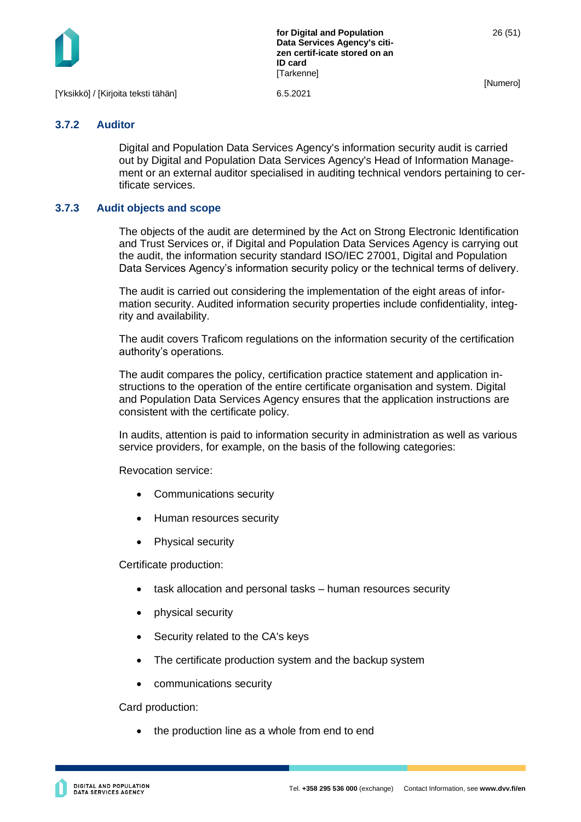

**for Digital and Population Data Services Agency's citizen certif-icate stored on an ID card [Tarkenne]** 

26 (51)

[Numero]

[Yksikkö] / [Kirjoita teksti tähän] 6.5.2021

#### <span id="page-26-0"></span>**3.7.2 Auditor**

Digital and Population Data Services Agency's information security audit is carried out by Digital and Population Data Services Agency's Head of Information Management or an external auditor specialised in auditing technical vendors pertaining to certificate services.

#### <span id="page-26-1"></span>**3.7.3 Audit objects and scope**

The objects of the audit are determined by the Act on Strong Electronic Identification and Trust Services or, if Digital and Population Data Services Agency is carrying out the audit, the information security standard ISO/IEC 27001, Digital and Population Data Services Agency's information security policy or the technical terms of delivery.

The audit is carried out considering the implementation of the eight areas of information security. Audited information security properties include confidentiality, integrity and availability.

The audit covers Traficom regulations on the information security of the certification authority's operations.

The audit compares the policy, certification practice statement and application instructions to the operation of the entire certificate organisation and system. Digital and Population Data Services Agency ensures that the application instructions are consistent with the certificate policy.

In audits, attention is paid to information security in administration as well as various service providers, for example, on the basis of the following categories:

Revocation service:

- Communications security
- Human resources security
- Physical security

Certificate production:

- task allocation and personal tasks human resources security
- physical security
- Security related to the CA's keys
- The certificate production system and the backup system
- communications security

Card production:

the production line as a whole from end to end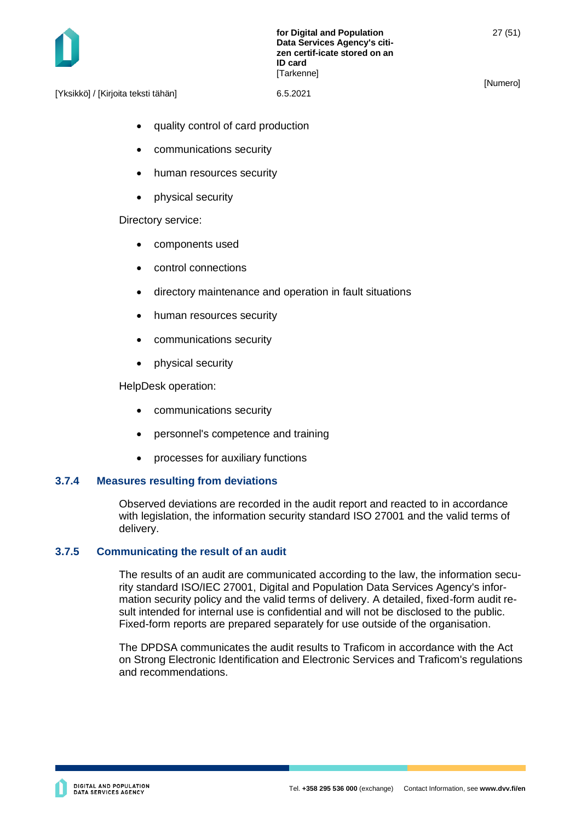

[Yksikkö] / [Kirjoita teksti tähän] 6.5.2021

- quality control of card production
- communications security
- human resources security
- physical security

Directory service:

- components used
- control connections
- directory maintenance and operation in fault situations
- human resources security
- communications security
- physical security

HelpDesk operation:

- communications security
- personnel's competence and training
- processes for auxiliary functions

#### <span id="page-27-0"></span>**3.7.4 Measures resulting from deviations**

Observed deviations are recorded in the audit report and reacted to in accordance with legislation, the information security standard ISO 27001 and the valid terms of delivery.

#### <span id="page-27-1"></span>**3.7.5 Communicating the result of an audit**

The results of an audit are communicated according to the law, the information security standard ISO/IEC 27001, Digital and Population Data Services Agency's information security policy and the valid terms of delivery. A detailed, fixed-form audit result intended for internal use is confidential and will not be disclosed to the public. Fixed-form reports are prepared separately for use outside of the organisation.

The DPDSA communicates the audit results to Traficom in accordance with the Act on Strong Electronic Identification and Electronic Services and Traficom's regulations and recommendations.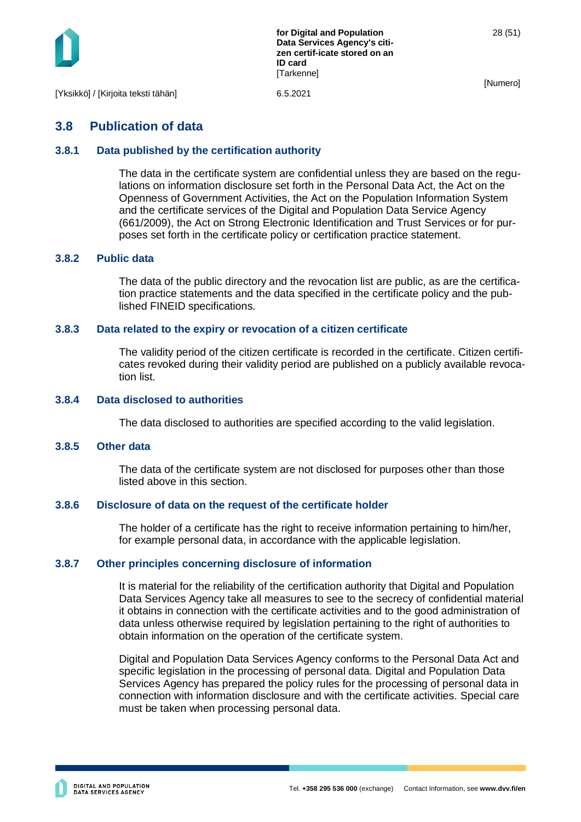

## <span id="page-28-0"></span>**3.8 Publication of data**

#### <span id="page-28-1"></span>**3.8.1 Data published by the certification authority**

The data in the certificate system are confidential unless they are based on the regulations on information disclosure set forth in the Personal Data Act, the Act on the Openness of Government Activities, the Act on the Population Information System and the certificate services of the Digital and Population Data Service Agency (661/2009), the Act on Strong Electronic Identification and Trust Services or for purposes set forth in the certificate policy or certification practice statement.

#### <span id="page-28-2"></span>**3.8.2 Public data**

The data of the public directory and the revocation list are public, as are the certification practice statements and the data specified in the certificate policy and the published FINEID specifications.

#### <span id="page-28-3"></span>**3.8.3 Data related to the expiry or revocation of a citizen certificate**

The validity period of the citizen certificate is recorded in the certificate. Citizen certificates revoked during their validity period are published on a publicly available revocation list.

#### <span id="page-28-4"></span>**3.8.4 Data disclosed to authorities**

The data disclosed to authorities are specified according to the valid legislation.

#### <span id="page-28-5"></span>**3.8.5 Other data**

The data of the certificate system are not disclosed for purposes other than those listed above in this section.

#### <span id="page-28-6"></span>**3.8.6 Disclosure of data on the request of the certificate holder**

The holder of a certificate has the right to receive information pertaining to him/her, for example personal data, in accordance with the applicable legislation.

#### <span id="page-28-7"></span>**3.8.7 Other principles concerning disclosure of information**

It is material for the reliability of the certification authority that Digital and Population Data Services Agency take all measures to see to the secrecy of confidential material it obtains in connection with the certificate activities and to the good administration of data unless otherwise required by legislation pertaining to the right of authorities to obtain information on the operation of the certificate system.

Digital and Population Data Services Agency conforms to the Personal Data Act and specific legislation in the processing of personal data. Digital and Population Data Services Agency has prepared the policy rules for the processing of personal data in connection with information disclosure and with the certificate activities. Special care must be taken when processing personal data.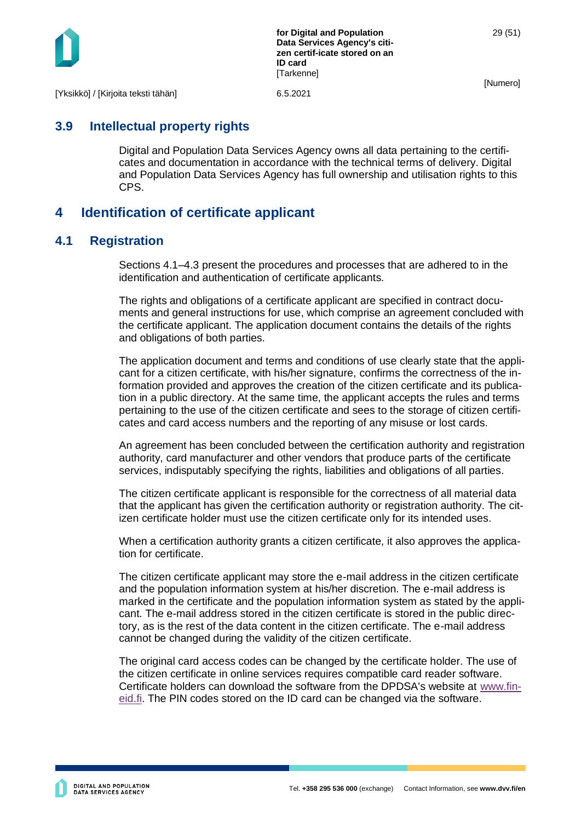

**for Digital and Population Data Services Agency's citizen certif-icate stored on an ID card [Tarkenne]** 

[Numero]

[Yksikkö] / [Kirjoita teksti tähän] 6.5.2021

## <span id="page-29-0"></span>**3.9 Intellectual property rights**

Digital and Population Data Services Agency owns all data pertaining to the certificates and documentation in accordance with the technical terms of delivery. Digital and Population Data Services Agency has full ownership and utilisation rights to this CPS.

## <span id="page-29-1"></span>**4 Identification of certificate applicant**

## <span id="page-29-2"></span>**4.1 Registration**

Sections 4.1–4.3 present the procedures and processes that are adhered to in the identification and authentication of certificate applicants.

The rights and obligations of a certificate applicant are specified in contract documents and general instructions for use, which comprise an agreement concluded with the certificate applicant. The application document contains the details of the rights and obligations of both parties.

The application document and terms and conditions of use clearly state that the applicant for a citizen certificate, with his/her signature, confirms the correctness of the information provided and approves the creation of the citizen certificate and its publication in a public directory. At the same time, the applicant accepts the rules and terms pertaining to the use of the citizen certificate and sees to the storage of citizen certificates and card access numbers and the reporting of any misuse or lost cards.

An agreement has been concluded between the certification authority and registration authority, card manufacturer and other vendors that produce parts of the certificate services, indisputably specifying the rights, liabilities and obligations of all parties.

The citizen certificate applicant is responsible for the correctness of all material data that the applicant has given the certification authority or registration authority. The citizen certificate holder must use the citizen certificate only for its intended uses.

When a certification authority grants a citizen certificate, it also approves the application for certificate.

The citizen certificate applicant may store the e-mail address in the citizen certificate and the population information system at his/her discretion. The e-mail address is marked in the certificate and the population information system as stated by the applicant. The e-mail address stored in the citizen certificate is stored in the public directory, as is the rest of the data content in the citizen certificate. The e-mail address cannot be changed during the validity of the citizen certificate.

The original card access codes can be changed by the certificate holder. The use of the citizen certificate in online services requires compatible card reader software. Certificate holders can download the software from the DPDSA's website at [www.fin](http://www.fineid.fi/)[eid.fi.](http://www.fineid.fi/) The PIN codes stored on the ID card can be changed via the software.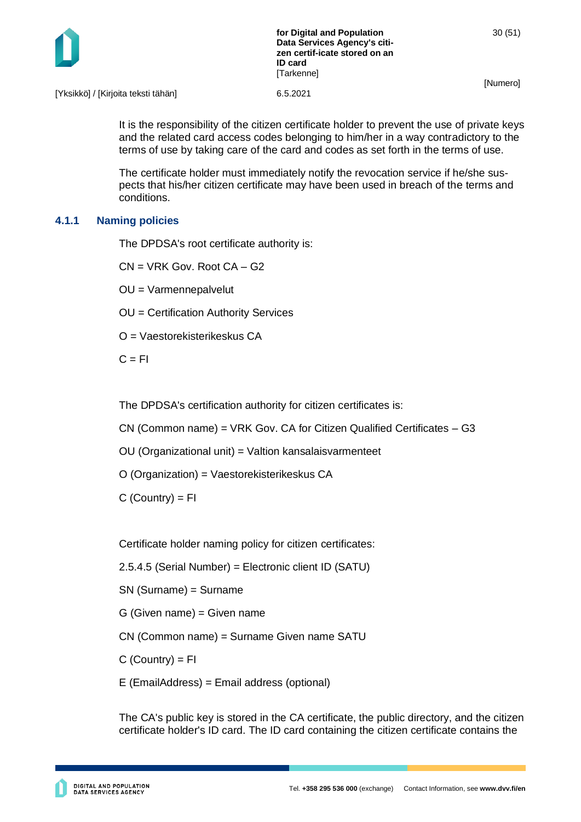

[Yksikkö] / [Kirjoita teksti tähän] 6.5.2021

It is the responsibility of the citizen certificate holder to prevent the use of private keys and the related card access codes belonging to him/her in a way contradictory to the terms of use by taking care of the card and codes as set forth in the terms of use.

The certificate holder must immediately notify the revocation service if he/she suspects that his/her citizen certificate may have been used in breach of the terms and conditions.

#### <span id="page-30-0"></span>**4.1.1 Naming policies**

The DPDSA's root certificate authority is:

CN = VRK Gov. Root CA – G2

OU = Varmennepalvelut

OU = Certification Authority Services

O = Vaestorekisterikeskus CA

 $C = FI$ 

The DPDSA's certification authority for citizen certificates is:

CN (Common name) = VRK Gov. CA for Citizen Qualified Certificates – G3

OU (Organizational unit) = Valtion kansalaisvarmenteet

O (Organization) = Vaestorekisterikeskus CA

 $C$  (Country) =  $FI$ 

Certificate holder naming policy for citizen certificates:

2.5.4.5 (Serial Number) = Electronic client ID (SATU)

SN (Surname) = Surname

G (Given name) = Given name

CN (Common name) = Surname Given name SATU

 $C$  (Country) =  $FI$ 

E (EmailAddress) = Email address (optional)

The CA's public key is stored in the CA certificate, the public directory, and the citizen certificate holder's ID card. The ID card containing the citizen certificate contains the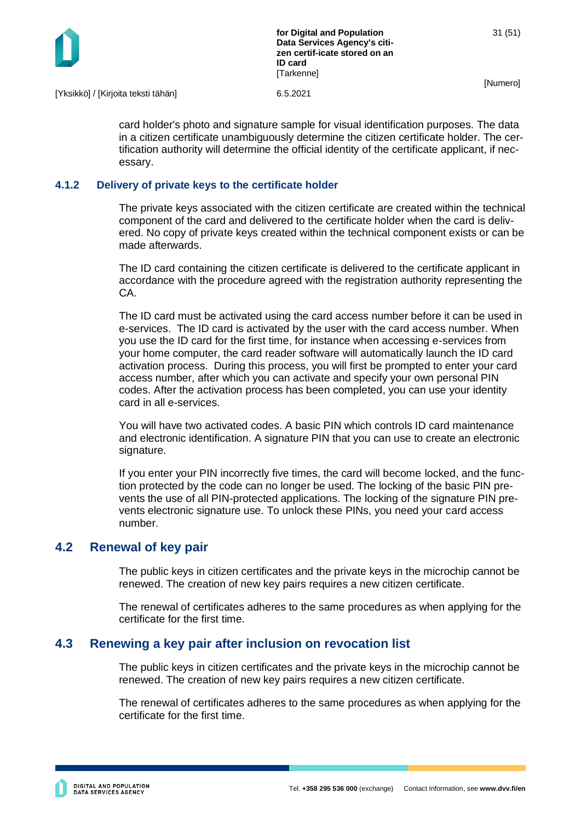

[Yksikkö] / [Kirjoita teksti tähän] 6.5.2021

card holder's photo and signature sample for visual identification purposes. The data in a citizen certificate unambiguously determine the citizen certificate holder. The certification authority will determine the official identity of the certificate applicant, if necessary.

#### <span id="page-31-0"></span>**4.1.2 Delivery of private keys to the certificate holder**

The private keys associated with the citizen certificate are created within the technical component of the card and delivered to the certificate holder when the card is delivered. No copy of private keys created within the technical component exists or can be made afterwards.

The ID card containing the citizen certificate is delivered to the certificate applicant in accordance with the procedure agreed with the registration authority representing the CA.

The ID card must be activated using the card access number before it can be used in e-services. The ID card is activated by the user with the card access number. When you use the ID card for the first time, for instance when accessing e-services from your home computer, the card reader software will automatically launch the ID card activation process. During this process, you will first be prompted to enter your card access number, after which you can activate and specify your own personal PIN codes. After the activation process has been completed, you can use your identity card in all e-services.

You will have two activated codes. A basic PIN which controls ID card maintenance and electronic identification. A signature PIN that you can use to create an electronic signature.

If you enter your PIN incorrectly five times, the card will become locked, and the function protected by the code can no longer be used. The locking of the basic PIN prevents the use of all PIN-protected applications. The locking of the signature PIN prevents electronic signature use. To unlock these PINs, you need your card access number.

## <span id="page-31-1"></span>**4.2 Renewal of key pair**

The public keys in citizen certificates and the private keys in the microchip cannot be renewed. The creation of new key pairs requires a new citizen certificate.

The renewal of certificates adheres to the same procedures as when applying for the certificate for the first time.

## <span id="page-31-2"></span>**4.3 Renewing a key pair after inclusion on revocation list**

The public keys in citizen certificates and the private keys in the microchip cannot be renewed. The creation of new key pairs requires a new citizen certificate.

The renewal of certificates adheres to the same procedures as when applying for the certificate for the first time.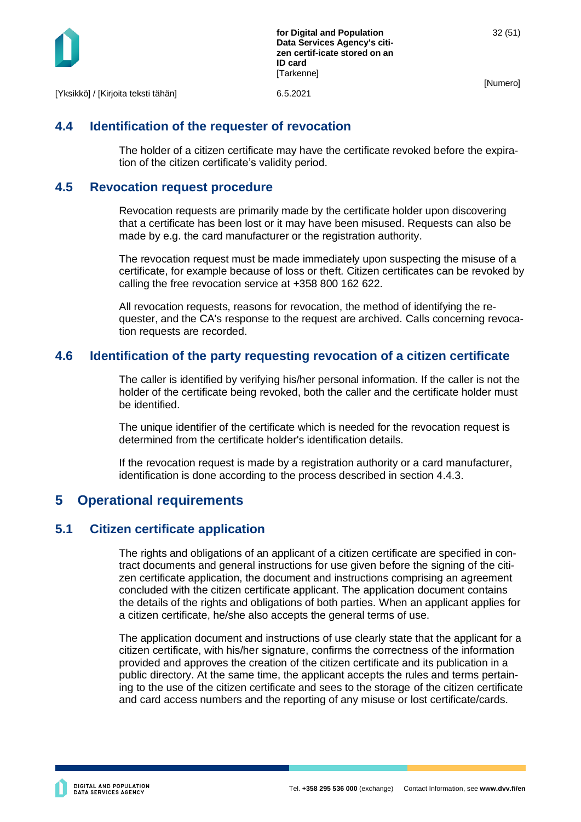

## <span id="page-32-0"></span>**4.4 Identification of the requester of revocation**

The holder of a citizen certificate may have the certificate revoked before the expiration of the citizen certificate's validity period.

## <span id="page-32-1"></span>**4.5 Revocation request procedure**

Revocation requests are primarily made by the certificate holder upon discovering that a certificate has been lost or it may have been misused. Requests can also be made by e.g. the card manufacturer or the registration authority.

The revocation request must be made immediately upon suspecting the misuse of a certificate, for example because of loss or theft. Citizen certificates can be revoked by calling the free revocation service at +358 800 162 622.

All revocation requests, reasons for revocation, the method of identifying the requester, and the CA's response to the request are archived. Calls concerning revocation requests are recorded.

## <span id="page-32-2"></span>**4.6 Identification of the party requesting revocation of a citizen certificate**

The caller is identified by verifying his/her personal information. If the caller is not the holder of the certificate being revoked, both the caller and the certificate holder must be identified.

The unique identifier of the certificate which is needed for the revocation request is determined from the certificate holder's identification details.

If the revocation request is made by a registration authority or a card manufacturer, identification is done according to the process described in section 4.4.3.

## <span id="page-32-3"></span>**5 Operational requirements**

## <span id="page-32-4"></span>**5.1 Citizen certificate application**

The rights and obligations of an applicant of a citizen certificate are specified in contract documents and general instructions for use given before the signing of the citizen certificate application, the document and instructions comprising an agreement concluded with the citizen certificate applicant. The application document contains the details of the rights and obligations of both parties. When an applicant applies for a citizen certificate, he/she also accepts the general terms of use.

The application document and instructions of use clearly state that the applicant for a citizen certificate, with his/her signature, confirms the correctness of the information provided and approves the creation of the citizen certificate and its publication in a public directory. At the same time, the applicant accepts the rules and terms pertaining to the use of the citizen certificate and sees to the storage of the citizen certificate and card access numbers and the reporting of any misuse or lost certificate/cards.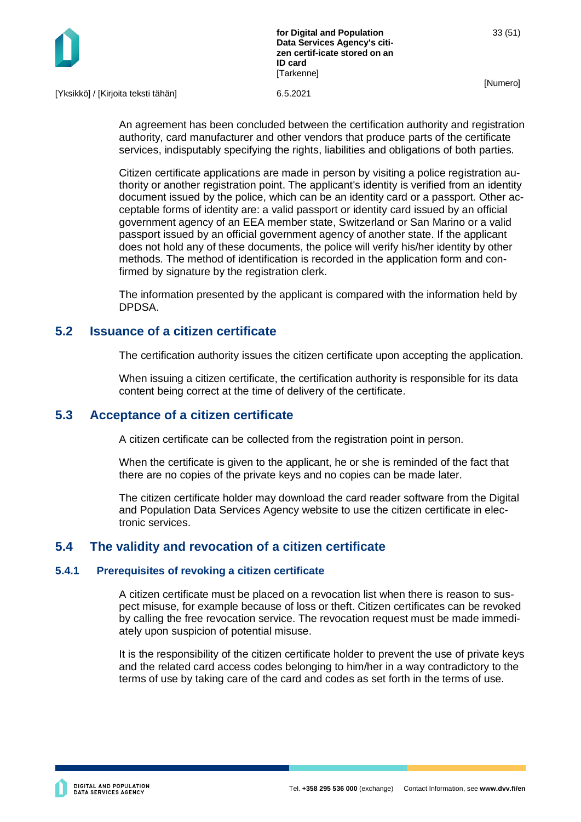

[Yksikkö] / [Kirjoita teksti tähän] 6.5.2021

An agreement has been concluded between the certification authority and registration authority, card manufacturer and other vendors that produce parts of the certificate services, indisputably specifying the rights, liabilities and obligations of both parties.

Citizen certificate applications are made in person by visiting a police registration authority or another registration point. The applicant's identity is verified from an identity document issued by the police, which can be an identity card or a passport. Other acceptable forms of identity are: a valid passport or identity card issued by an official government agency of an EEA member state, Switzerland or San Marino or a valid passport issued by an official government agency of another state. If the applicant does not hold any of these documents, the police will verify his/her identity by other methods. The method of identification is recorded in the application form and confirmed by signature by the registration clerk.

The information presented by the applicant is compared with the information held by DPDSA.

## <span id="page-33-0"></span>**5.2 Issuance of a citizen certificate**

The certification authority issues the citizen certificate upon accepting the application.

When issuing a citizen certificate, the certification authority is responsible for its data content being correct at the time of delivery of the certificate.

#### <span id="page-33-1"></span>**5.3 Acceptance of a citizen certificate**

A citizen certificate can be collected from the registration point in person.

When the certificate is given to the applicant, he or she is reminded of the fact that there are no copies of the private keys and no copies can be made later.

The citizen certificate holder may download the card reader software from the Digital and Population Data Services Agency website to use the citizen certificate in electronic services.

## <span id="page-33-2"></span>**5.4 The validity and revocation of a citizen certificate**

#### <span id="page-33-3"></span>**5.4.1 Prerequisites of revoking a citizen certificate**

A citizen certificate must be placed on a revocation list when there is reason to suspect misuse, for example because of loss or theft. Citizen certificates can be revoked by calling the free revocation service. The revocation request must be made immediately upon suspicion of potential misuse.

It is the responsibility of the citizen certificate holder to prevent the use of private keys and the related card access codes belonging to him/her in a way contradictory to the terms of use by taking care of the card and codes as set forth in the terms of use.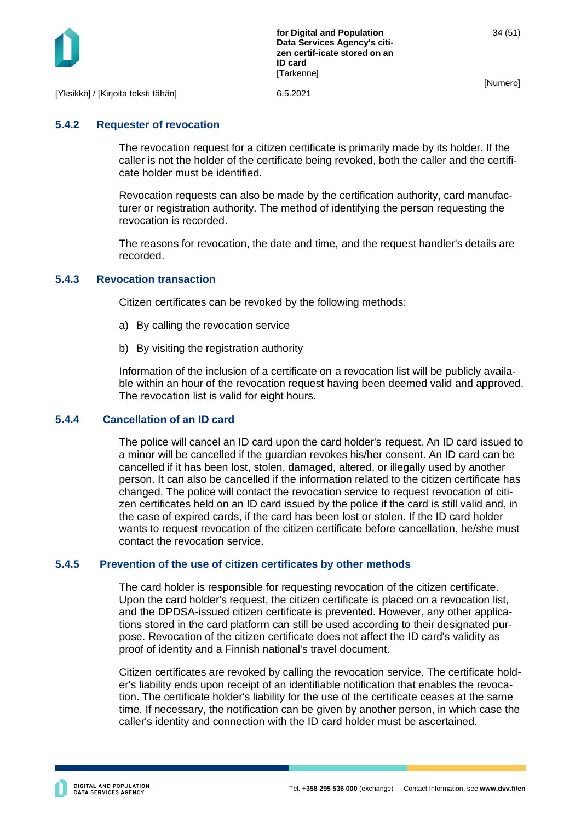

#### <span id="page-34-0"></span>**5.4.2 Requester of revocation**

The revocation request for a citizen certificate is primarily made by its holder. If the caller is not the holder of the certificate being revoked, both the caller and the certificate holder must be identified.

Revocation requests can also be made by the certification authority, card manufacturer or registration authority. The method of identifying the person requesting the revocation is recorded.

The reasons for revocation, the date and time, and the request handler's details are recorded.

#### <span id="page-34-1"></span>**5.4.3 Revocation transaction**

Citizen certificates can be revoked by the following methods:

- a) By calling the revocation service
- b) By visiting the registration authority

Information of the inclusion of a certificate on a revocation list will be publicly available within an hour of the revocation request having been deemed valid and approved. The revocation list is valid for eight hours.

#### **5.4.4 Cancellation of an ID card**

<span id="page-34-2"></span>The police will cancel an ID card upon the card holder's request. An ID card issued to a minor will be cancelled if the guardian revokes his/her consent. An ID card can be cancelled if it has been lost, stolen, damaged, altered, or illegally used by another person. It can also be cancelled if the information related to the citizen certificate has changed. The police will contact the revocation service to request revocation of citizen certificates held on an ID card issued by the police if the card is still valid and, in the case of expired cards, if the card has been lost or stolen. If the ID card holder wants to request revocation of the citizen certificate before cancellation, he/she must contact the revocation service.

#### **5.4.5 Prevention of the use of citizen certificates by other methods**

<span id="page-34-3"></span>The card holder is responsible for requesting revocation of the citizen certificate. Upon the card holder's request, the citizen certificate is placed on a revocation list, and the DPDSA-issued citizen certificate is prevented. However, any other applications stored in the card platform can still be used according to their designated purpose. Revocation of the citizen certificate does not affect the ID card's validity as proof of identity and a Finnish national's travel document.

Citizen certificates are revoked by calling the revocation service. The certificate holder's liability ends upon receipt of an identifiable notification that enables the revocation. The certificate holder's liability for the use of the certificate ceases at the same time. If necessary, the notification can be given by another person, in which case the caller's identity and connection with the ID card holder must be ascertained.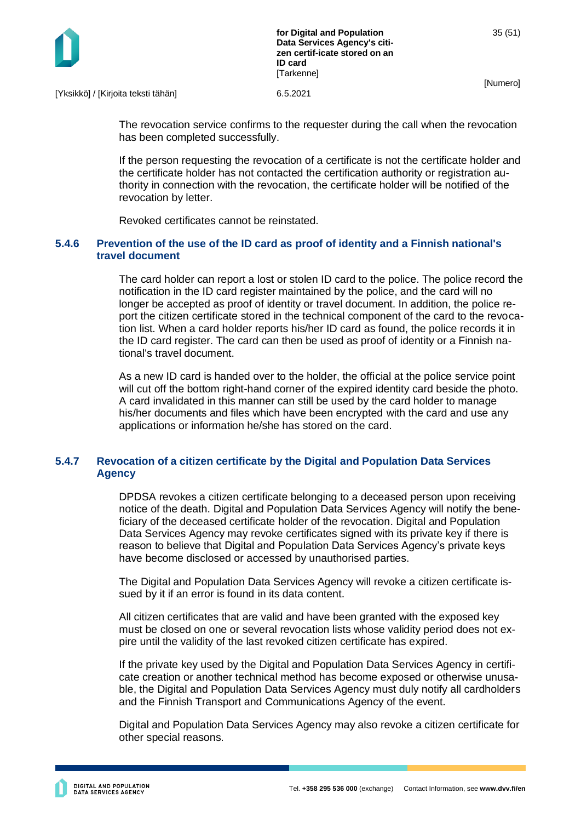

[Yksikkö] / [Kirjoita teksti tähän] 6.5.2021

The revocation service confirms to the requester during the call when the revocation has been completed successfully.

If the person requesting the revocation of a certificate is not the certificate holder and the certificate holder has not contacted the certification authority or registration authority in connection with the revocation, the certificate holder will be notified of the revocation by letter.

Revoked certificates cannot be reinstated.

#### <span id="page-35-0"></span>**5.4.6 Prevention of the use of the ID card as proof of identity and a Finnish national's travel document**

The card holder can report a lost or stolen ID card to the police. The police record the notification in the ID card register maintained by the police, and the card will no longer be accepted as proof of identity or travel document. In addition, the police report the citizen certificate stored in the technical component of the card to the revocation list. When a card holder reports his/her ID card as found, the police records it in the ID card register. The card can then be used as proof of identity or a Finnish national's travel document.

As a new ID card is handed over to the holder, the official at the police service point will cut off the bottom right-hand corner of the expired identity card beside the photo. A card invalidated in this manner can still be used by the card holder to manage his/her documents and files which have been encrypted with the card and use any applications or information he/she has stored on the card.

#### <span id="page-35-1"></span>**5.4.7 Revocation of a citizen certificate by the Digital and Population Data Services Agency**

DPDSA revokes a citizen certificate belonging to a deceased person upon receiving notice of the death. Digital and Population Data Services Agency will notify the beneficiary of the deceased certificate holder of the revocation. Digital and Population Data Services Agency may revoke certificates signed with its private key if there is reason to believe that Digital and Population Data Services Agency's private keys have become disclosed or accessed by unauthorised parties.

The Digital and Population Data Services Agency will revoke a citizen certificate issued by it if an error is found in its data content.

All citizen certificates that are valid and have been granted with the exposed key must be closed on one or several revocation lists whose validity period does not expire until the validity of the last revoked citizen certificate has expired.

If the private key used by the Digital and Population Data Services Agency in certificate creation or another technical method has become exposed or otherwise unusable, the Digital and Population Data Services Agency must duly notify all cardholders and the Finnish Transport and Communications Agency of the event.

Digital and Population Data Services Agency may also revoke a citizen certificate for other special reasons.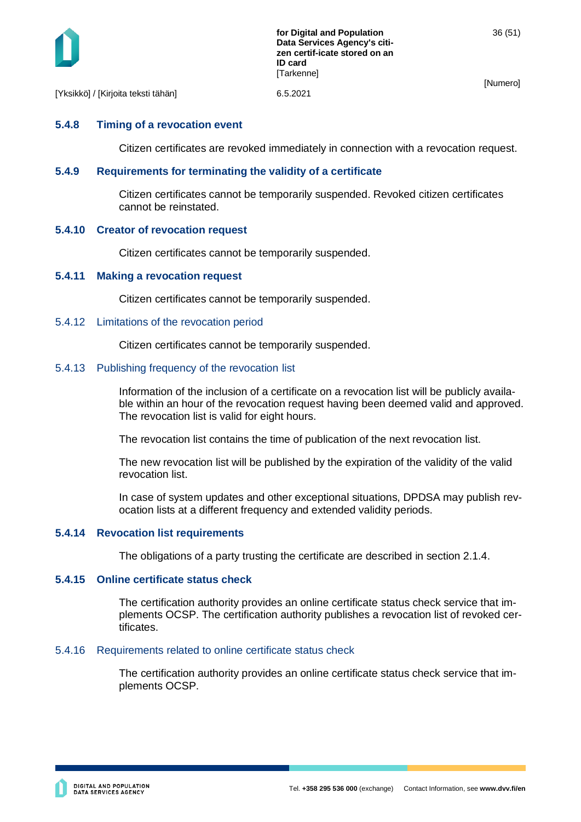

[Yksikkö] / [Kirjoita teksti tähän] 6.5.2021

#### <span id="page-36-0"></span>**5.4.8 Timing of a revocation event**

Citizen certificates are revoked immediately in connection with a revocation request.

#### <span id="page-36-1"></span>**5.4.9 Requirements for terminating the validity of a certificate**

Citizen certificates cannot be temporarily suspended. Revoked citizen certificates cannot be reinstated.

#### <span id="page-36-2"></span>**5.4.10 Creator of revocation request**

Citizen certificates cannot be temporarily suspended.

#### <span id="page-36-3"></span>**5.4.11 Making a revocation request**

Citizen certificates cannot be temporarily suspended.

#### <span id="page-36-4"></span>5.4.12 Limitations of the revocation period

Citizen certificates cannot be temporarily suspended.

#### <span id="page-36-5"></span>5.4.13 Publishing frequency of the revocation list

Information of the inclusion of a certificate on a revocation list will be publicly available within an hour of the revocation request having been deemed valid and approved. The revocation list is valid for eight hours.

The revocation list contains the time of publication of the next revocation list.

The new revocation list will be published by the expiration of the validity of the valid revocation list.

In case of system updates and other exceptional situations, DPDSA may publish revocation lists at a different frequency and extended validity periods.

#### <span id="page-36-6"></span>**5.4.14 Revocation list requirements**

The obligations of a party trusting the certificate are described in section 2.1.4.

#### <span id="page-36-7"></span>**5.4.15 Online certificate status check**

The certification authority provides an online certificate status check service that implements OCSP. The certification authority publishes a revocation list of revoked certificates.

## <span id="page-36-8"></span>5.4.16 Requirements related to online certificate status check

The certification authority provides an online certificate status check service that implements OCSP.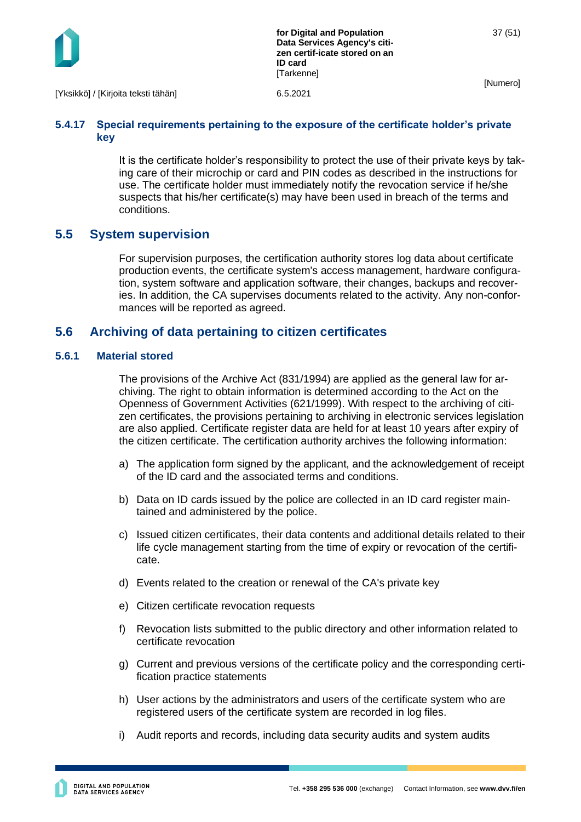

[Yksikkö] / [Kirjoita teksti tähän] 6.5.2021

#### <span id="page-37-0"></span>**5.4.17 Special requirements pertaining to the exposure of the certificate holder's private key**

It is the certificate holder's responsibility to protect the use of their private keys by taking care of their microchip or card and PIN codes as described in the instructions for use. The certificate holder must immediately notify the revocation service if he/she suspects that his/her certificate(s) may have been used in breach of the terms and conditions.

## <span id="page-37-1"></span>**5.5 System supervision**

For supervision purposes, the certification authority stores log data about certificate production events, the certificate system's access management, hardware configuration, system software and application software, their changes, backups and recoveries. In addition, the CA supervises documents related to the activity. Any non-conformances will be reported as agreed.

## <span id="page-37-2"></span>**5.6 Archiving of data pertaining to citizen certificates**

#### <span id="page-37-3"></span>**5.6.1 Material stored**

The provisions of the Archive Act (831/1994) are applied as the general law for archiving. The right to obtain information is determined according to the Act on the Openness of Government Activities (621/1999). With respect to the archiving of citizen certificates, the provisions pertaining to archiving in electronic services legislation are also applied. Certificate register data are held for at least 10 years after expiry of the citizen certificate. The certification authority archives the following information:

- a) The application form signed by the applicant, and the acknowledgement of receipt of the ID card and the associated terms and conditions.
- b) Data on ID cards issued by the police are collected in an ID card register maintained and administered by the police.
- c) Issued citizen certificates, their data contents and additional details related to their life cycle management starting from the time of expiry or revocation of the certificate.
- d) Events related to the creation or renewal of the CA's private key
- e) Citizen certificate revocation requests
- f) Revocation lists submitted to the public directory and other information related to certificate revocation
- g) Current and previous versions of the certificate policy and the corresponding certification practice statements
- h) User actions by the administrators and users of the certificate system who are registered users of the certificate system are recorded in log files.
- i) Audit reports and records, including data security audits and system audits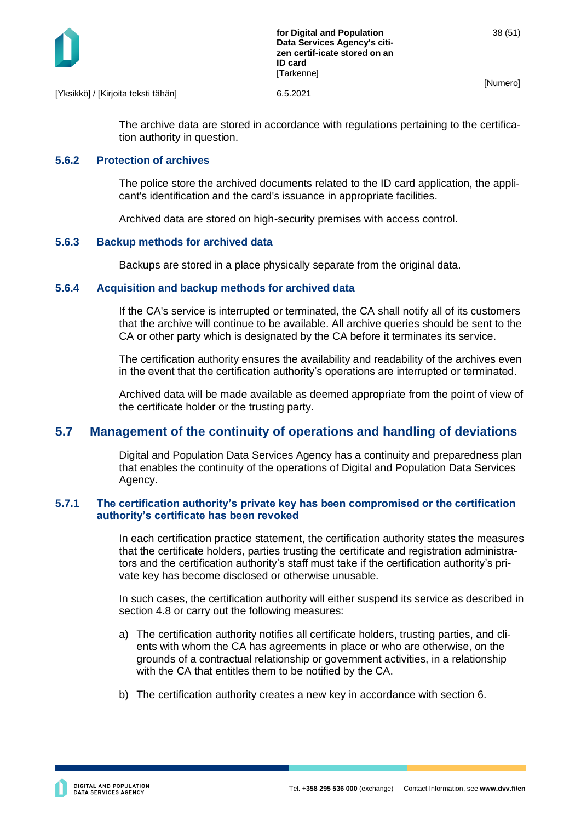

[Yksikkö] / [Kirjoita teksti tähän] 6.5.2021

The archive data are stored in accordance with regulations pertaining to the certification authority in question.

#### <span id="page-38-0"></span>**5.6.2 Protection of archives**

The police store the archived documents related to the ID card application, the applicant's identification and the card's issuance in appropriate facilities.

Archived data are stored on high-security premises with access control.

#### <span id="page-38-1"></span>**5.6.3 Backup methods for archived data**

Backups are stored in a place physically separate from the original data.

#### <span id="page-38-2"></span>**5.6.4 Acquisition and backup methods for archived data**

If the CA's service is interrupted or terminated, the CA shall notify all of its customers that the archive will continue to be available. All archive queries should be sent to the CA or other party which is designated by the CA before it terminates its service.

The certification authority ensures the availability and readability of the archives even in the event that the certification authority's operations are interrupted or terminated.

Archived data will be made available as deemed appropriate from the point of view of the certificate holder or the trusting party.

## <span id="page-38-3"></span>**5.7 Management of the continuity of operations and handling of deviations**

Digital and Population Data Services Agency has a continuity and preparedness plan that enables the continuity of the operations of Digital and Population Data Services Agency.

#### <span id="page-38-4"></span>**5.7.1 The certification authority's private key has been compromised or the certification authority's certificate has been revoked**

In each certification practice statement, the certification authority states the measures that the certificate holders, parties trusting the certificate and registration administrators and the certification authority's staff must take if the certification authority's private key has become disclosed or otherwise unusable.

In such cases, the certification authority will either suspend its service as described in section 4.8 or carry out the following measures:

- a) The certification authority notifies all certificate holders, trusting parties, and clients with whom the CA has agreements in place or who are otherwise, on the grounds of a contractual relationship or government activities, in a relationship with the CA that entitles them to be notified by the CA.
- b) The certification authority creates a new key in accordance with section 6.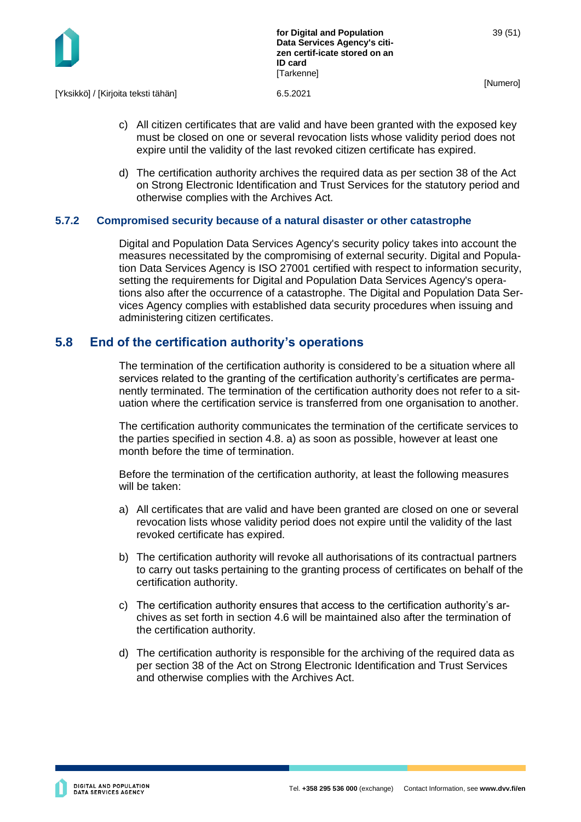

[Yksikkö] / [Kirjoita teksti tähän] 6.5.2021

- c) All citizen certificates that are valid and have been granted with the exposed key must be closed on one or several revocation lists whose validity period does not expire until the validity of the last revoked citizen certificate has expired.
- d) The certification authority archives the required data as per section 38 of the Act on Strong Electronic Identification and Trust Services for the statutory period and otherwise complies with the Archives Act.

#### <span id="page-39-0"></span>**5.7.2 Compromised security because of a natural disaster or other catastrophe**

Digital and Population Data Services Agency's security policy takes into account the measures necessitated by the compromising of external security. Digital and Population Data Services Agency is ISO 27001 certified with respect to information security, setting the requirements for Digital and Population Data Services Agency's operations also after the occurrence of a catastrophe. The Digital and Population Data Services Agency complies with established data security procedures when issuing and administering citizen certificates.

## <span id="page-39-1"></span>**5.8 End of the certification authority's operations**

The termination of the certification authority is considered to be a situation where all services related to the granting of the certification authority's certificates are permanently terminated. The termination of the certification authority does not refer to a situation where the certification service is transferred from one organisation to another.

The certification authority communicates the termination of the certificate services to the parties specified in section 4.8. a) as soon as possible, however at least one month before the time of termination.

Before the termination of the certification authority, at least the following measures will be taken:

- a) All certificates that are valid and have been granted are closed on one or several revocation lists whose validity period does not expire until the validity of the last revoked certificate has expired.
- b) The certification authority will revoke all authorisations of its contractual partners to carry out tasks pertaining to the granting process of certificates on behalf of the certification authority.
- c) The certification authority ensures that access to the certification authority's archives as set forth in section 4.6 will be maintained also after the termination of the certification authority.
- d) The certification authority is responsible for the archiving of the required data as per section 38 of the Act on Strong Electronic Identification and Trust Services and otherwise complies with the Archives Act.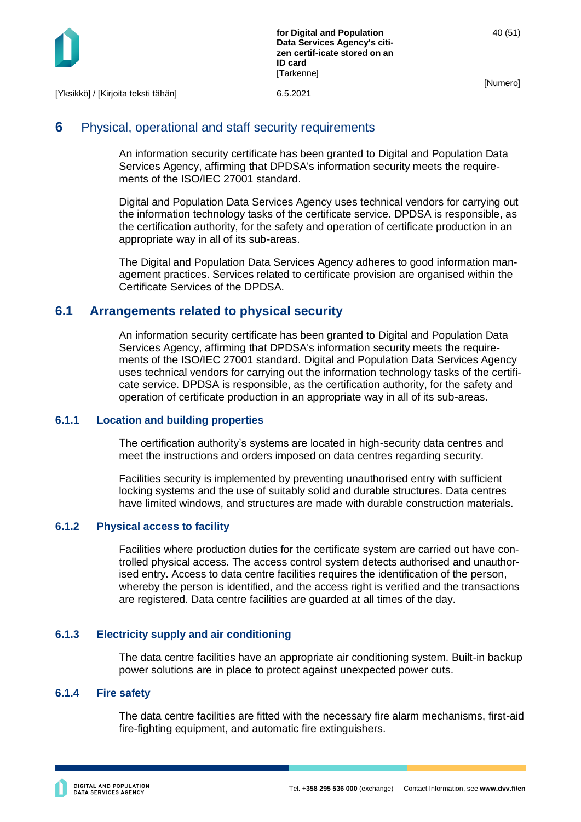

## <span id="page-40-0"></span>**6** Physical, operational and staff security requirements

An information security certificate has been granted to Digital and Population Data Services Agency, affirming that DPDSA's information security meets the requirements of the ISO/IEC 27001 standard.

Digital and Population Data Services Agency uses technical vendors for carrying out the information technology tasks of the certificate service. DPDSA is responsible, as the certification authority, for the safety and operation of certificate production in an appropriate way in all of its sub-areas.

The Digital and Population Data Services Agency adheres to good information management practices. Services related to certificate provision are organised within the Certificate Services of the DPDSA.

## <span id="page-40-1"></span>**6.1 Arrangements related to physical security**

An information security certificate has been granted to Digital and Population Data Services Agency, affirming that DPDSA's information security meets the requirements of the ISO/IEC 27001 standard. Digital and Population Data Services Agency uses technical vendors for carrying out the information technology tasks of the certificate service. DPDSA is responsible, as the certification authority, for the safety and operation of certificate production in an appropriate way in all of its sub-areas.

#### <span id="page-40-2"></span>**6.1.1 Location and building properties**

The certification authority's systems are located in high-security data centres and meet the instructions and orders imposed on data centres regarding security.

Facilities security is implemented by preventing unauthorised entry with sufficient locking systems and the use of suitably solid and durable structures. Data centres have limited windows, and structures are made with durable construction materials.

#### <span id="page-40-3"></span>**6.1.2 Physical access to facility**

Facilities where production duties for the certificate system are carried out have controlled physical access. The access control system detects authorised and unauthorised entry. Access to data centre facilities requires the identification of the person, whereby the person is identified, and the access right is verified and the transactions are registered. Data centre facilities are guarded at all times of the day.

#### <span id="page-40-4"></span>**6.1.3 Electricity supply and air conditioning**

The data centre facilities have an appropriate air conditioning system. Built-in backup power solutions are in place to protect against unexpected power cuts.

#### <span id="page-40-5"></span>**6.1.4 Fire safety**

The data centre facilities are fitted with the necessary fire alarm mechanisms, first-aid fire-fighting equipment, and automatic fire extinguishers.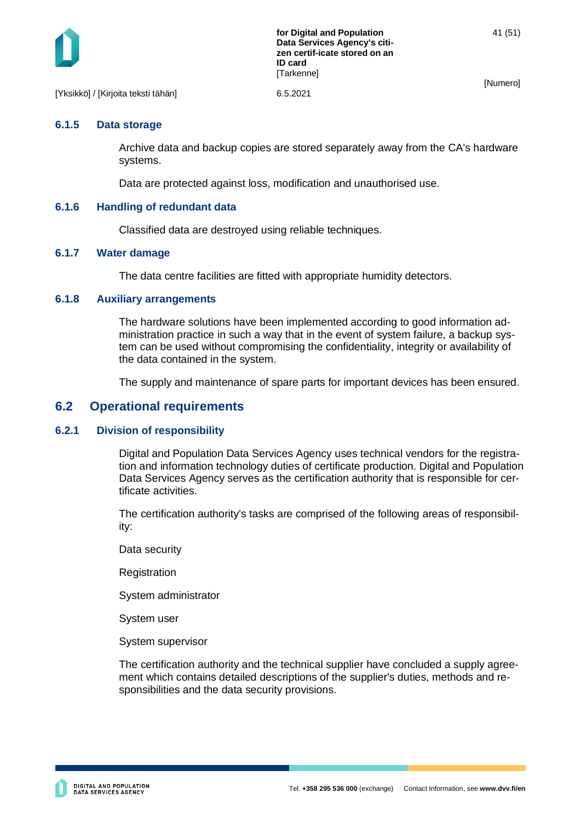

#### <span id="page-41-0"></span>**6.1.5 Data storage**

Archive data and backup copies are stored separately away from the CA's hardware systems.

Data are protected against loss, modification and unauthorised use.

#### <span id="page-41-1"></span>**6.1.6 Handling of redundant data**

Classified data are destroyed using reliable techniques.

#### <span id="page-41-2"></span>**6.1.7 Water damage**

The data centre facilities are fitted with appropriate humidity detectors.

#### <span id="page-41-3"></span>**6.1.8 Auxiliary arrangements**

The hardware solutions have been implemented according to good information administration practice in such a way that in the event of system failure, a backup system can be used without compromising the confidentiality, integrity or availability of the data contained in the system.

The supply and maintenance of spare parts for important devices has been ensured.

#### <span id="page-41-4"></span>**6.2 Operational requirements**

#### <span id="page-41-5"></span>**6.2.1 Division of responsibility**

Digital and Population Data Services Agency uses technical vendors for the registration and information technology duties of certificate production. Digital and Population Data Services Agency serves as the certification authority that is responsible for certificate activities.

The certification authority's tasks are comprised of the following areas of responsibility:

Data security

**Registration** 

System administrator

System user

System supervisor

The certification authority and the technical supplier have concluded a supply agreement which contains detailed descriptions of the supplier's duties, methods and responsibilities and the data security provisions.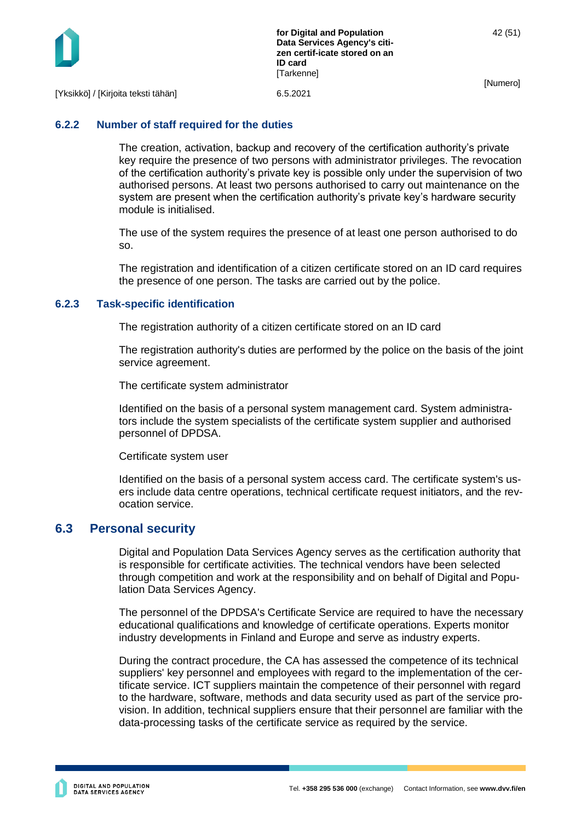

[Yksikkö] / [Kirjoita teksti tähän] 6.5.2021

#### <span id="page-42-0"></span>**6.2.2 Number of staff required for the duties**

The creation, activation, backup and recovery of the certification authority's private key require the presence of two persons with administrator privileges. The revocation of the certification authority's private key is possible only under the supervision of two authorised persons. At least two persons authorised to carry out maintenance on the system are present when the certification authority's private key's hardware security module is initialised.

The use of the system requires the presence of at least one person authorised to do so.

The registration and identification of a citizen certificate stored on an ID card requires the presence of one person. The tasks are carried out by the police.

#### <span id="page-42-1"></span>**6.2.3 Task-specific identification**

The registration authority of a citizen certificate stored on an ID card

The registration authority's duties are performed by the police on the basis of the joint service agreement.

The certificate system administrator

Identified on the basis of a personal system management card. System administrators include the system specialists of the certificate system supplier and authorised personnel of DPDSA.

Certificate system user

Identified on the basis of a personal system access card. The certificate system's users include data centre operations, technical certificate request initiators, and the revocation service.

#### <span id="page-42-2"></span>**6.3 Personal security**

Digital and Population Data Services Agency serves as the certification authority that is responsible for certificate activities. The technical vendors have been selected through competition and work at the responsibility and on behalf of Digital and Population Data Services Agency.

The personnel of the DPDSA's Certificate Service are required to have the necessary educational qualifications and knowledge of certificate operations. Experts monitor industry developments in Finland and Europe and serve as industry experts.

During the contract procedure, the CA has assessed the competence of its technical suppliers' key personnel and employees with regard to the implementation of the certificate service. ICT suppliers maintain the competence of their personnel with regard to the hardware, software, methods and data security used as part of the service provision. In addition, technical suppliers ensure that their personnel are familiar with the data-processing tasks of the certificate service as required by the service.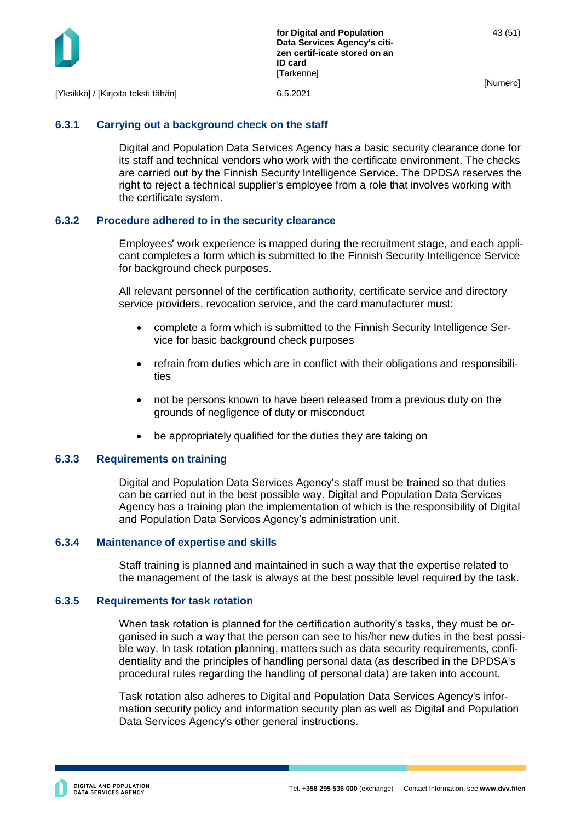

#### <span id="page-43-0"></span>**6.3.1 Carrying out a background check on the staff**

Digital and Population Data Services Agency has a basic security clearance done for its staff and technical vendors who work with the certificate environment. The checks are carried out by the Finnish Security Intelligence Service. The DPDSA reserves the right to reject a technical supplier's employee from a role that involves working with the certificate system.

#### <span id="page-43-1"></span>**6.3.2 Procedure adhered to in the security clearance**

Employees' work experience is mapped during the recruitment stage, and each applicant completes a form which is submitted to the Finnish Security Intelligence Service for background check purposes.

All relevant personnel of the certification authority, certificate service and directory service providers, revocation service, and the card manufacturer must:

- complete a form which is submitted to the Finnish Security Intelligence Service for basic background check purposes
- refrain from duties which are in conflict with their obligations and responsibilities
- not be persons known to have been released from a previous duty on the grounds of negligence of duty or misconduct
- be appropriately qualified for the duties they are taking on

#### <span id="page-43-2"></span>**6.3.3 Requirements on training**

Digital and Population Data Services Agency's staff must be trained so that duties can be carried out in the best possible way. Digital and Population Data Services Agency has a training plan the implementation of which is the responsibility of Digital and Population Data Services Agency's administration unit.

#### <span id="page-43-3"></span>**6.3.4 Maintenance of expertise and skills**

Staff training is planned and maintained in such a way that the expertise related to the management of the task is always at the best possible level required by the task.

#### <span id="page-43-4"></span>**6.3.5 Requirements for task rotation**

When task rotation is planned for the certification authority's tasks, they must be organised in such a way that the person can see to his/her new duties in the best possible way. In task rotation planning, matters such as data security requirements, confidentiality and the principles of handling personal data (as described in the DPDSA's procedural rules regarding the handling of personal data) are taken into account.

Task rotation also adheres to Digital and Population Data Services Agency's information security policy and information security plan as well as Digital and Population Data Services Agency's other general instructions.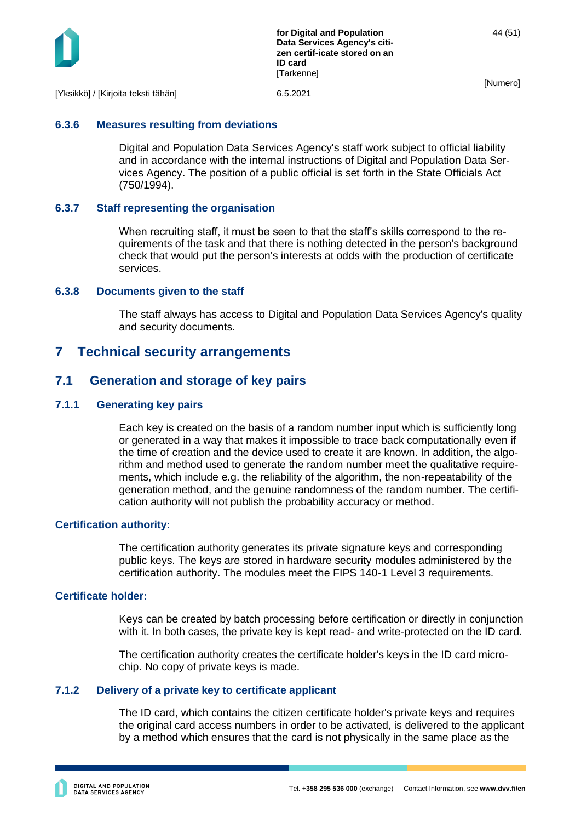

**for Digital and Population Data Services Agency's citizen certif-icate stored on an ID card [Tarkenne]** 

[Numero]

#### <span id="page-44-0"></span>**6.3.6 Measures resulting from deviations**

Digital and Population Data Services Agency's staff work subject to official liability and in accordance with the internal instructions of Digital and Population Data Services Agency. The position of a public official is set forth in the State Officials Act (750/1994).

#### <span id="page-44-1"></span>**6.3.7 Staff representing the organisation**

When recruiting staff, it must be seen to that the staff's skills correspond to the requirements of the task and that there is nothing detected in the person's background check that would put the person's interests at odds with the production of certificate services.

#### <span id="page-44-2"></span>**6.3.8 Documents given to the staff**

The staff always has access to Digital and Population Data Services Agency's quality and security documents.

## <span id="page-44-3"></span>**7 Technical security arrangements**

#### <span id="page-44-4"></span>**7.1 Generation and storage of key pairs**

#### <span id="page-44-5"></span>**7.1.1 Generating key pairs**

Each key is created on the basis of a random number input which is sufficiently long or generated in a way that makes it impossible to trace back computationally even if the time of creation and the device used to create it are known. In addition, the algorithm and method used to generate the random number meet the qualitative requirements, which include e.g. the reliability of the algorithm, the non-repeatability of the generation method, and the genuine randomness of the random number. The certification authority will not publish the probability accuracy or method.

#### **Certification authority:**

The certification authority generates its private signature keys and corresponding public keys. The keys are stored in hardware security modules administered by the certification authority. The modules meet the FIPS 140-1 Level 3 requirements.

#### **Certificate holder:**

Keys can be created by batch processing before certification or directly in conjunction with it. In both cases, the private key is kept read- and write-protected on the ID card.

The certification authority creates the certificate holder's keys in the ID card microchip. No copy of private keys is made.

#### <span id="page-44-6"></span>**7.1.2 Delivery of a private key to certificate applicant**

The ID card, which contains the citizen certificate holder's private keys and requires the original card access numbers in order to be activated, is delivered to the applicant by a method which ensures that the card is not physically in the same place as the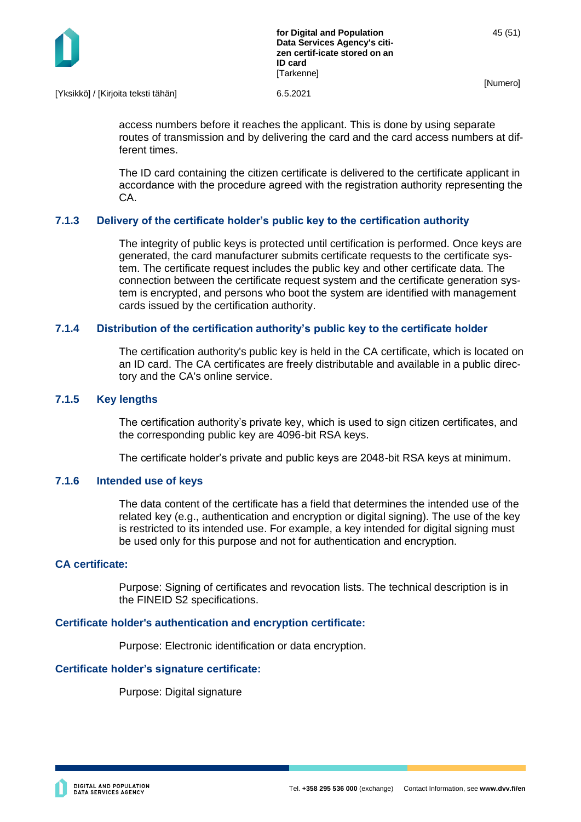

[Yksikkö] / [Kirjoita teksti tähän] 6.5.2021

access numbers before it reaches the applicant. This is done by using separate routes of transmission and by delivering the card and the card access numbers at different times.

The ID card containing the citizen certificate is delivered to the certificate applicant in accordance with the procedure agreed with the registration authority representing the CA.

#### <span id="page-45-0"></span>**7.1.3 Delivery of the certificate holder's public key to the certification authority**

The integrity of public keys is protected until certification is performed. Once keys are generated, the card manufacturer submits certificate requests to the certificate system. The certificate request includes the public key and other certificate data. The connection between the certificate request system and the certificate generation system is encrypted, and persons who boot the system are identified with management cards issued by the certification authority.

#### <span id="page-45-1"></span>**7.1.4 Distribution of the certification authority's public key to the certificate holder**

The certification authority's public key is held in the CA certificate, which is located on an ID card. The CA certificates are freely distributable and available in a public directory and the CA's online service.

#### <span id="page-45-2"></span>**7.1.5 Key lengths**

The certification authority's private key, which is used to sign citizen certificates, and the corresponding public key are 4096-bit RSA keys.

The certificate holder's private and public keys are 2048-bit RSA keys at minimum.

#### <span id="page-45-3"></span>**7.1.6 Intended use of keys**

The data content of the certificate has a field that determines the intended use of the related key (e.g., authentication and encryption or digital signing). The use of the key is restricted to its intended use. For example, a key intended for digital signing must be used only for this purpose and not for authentication and encryption.

#### **CA certificate:**

Purpose: Signing of certificates and revocation lists. The technical description is in the FINEID S2 specifications.

#### **Certificate holder's authentication and encryption certificate:**

Purpose: Electronic identification or data encryption.

#### **Certificate holder's signature certificate:**

Purpose: Digital signature

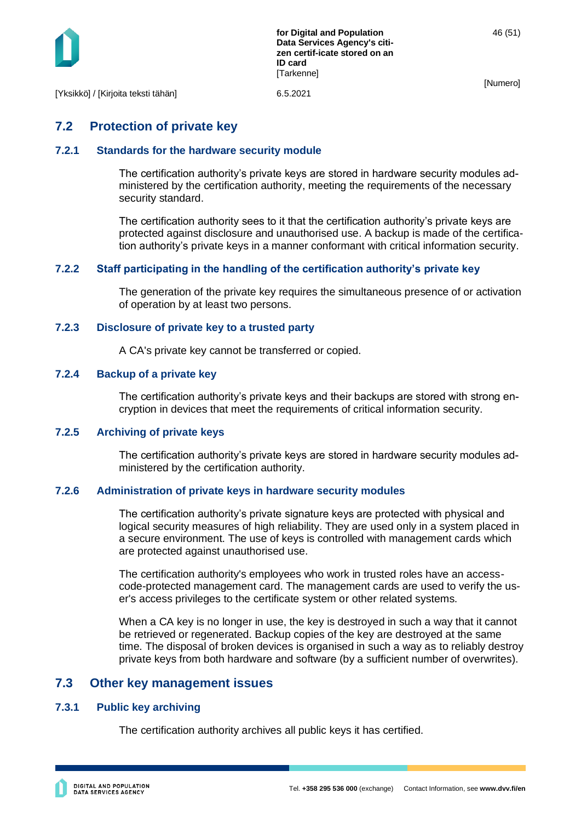

## <span id="page-46-0"></span>**7.2 Protection of private key**

#### <span id="page-46-1"></span>**7.2.1 Standards for the hardware security module**

The certification authority's private keys are stored in hardware security modules administered by the certification authority, meeting the requirements of the necessary security standard.

The certification authority sees to it that the certification authority's private keys are protected against disclosure and unauthorised use. A backup is made of the certification authority's private keys in a manner conformant with critical information security.

#### <span id="page-46-2"></span>**7.2.2 Staff participating in the handling of the certification authority's private key**

The generation of the private key requires the simultaneous presence of or activation of operation by at least two persons.

#### <span id="page-46-3"></span>**7.2.3 Disclosure of private key to a trusted party**

A CA's private key cannot be transferred or copied.

#### <span id="page-46-4"></span>**7.2.4 Backup of a private key**

The certification authority's private keys and their backups are stored with strong encryption in devices that meet the requirements of critical information security.

#### <span id="page-46-5"></span>**7.2.5 Archiving of private keys**

The certification authority's private keys are stored in hardware security modules administered by the certification authority.

#### <span id="page-46-6"></span>**7.2.6 Administration of private keys in hardware security modules**

The certification authority's private signature keys are protected with physical and logical security measures of high reliability. They are used only in a system placed in a secure environment. The use of keys is controlled with management cards which are protected against unauthorised use.

The certification authority's employees who work in trusted roles have an accesscode-protected management card. The management cards are used to verify the user's access privileges to the certificate system or other related systems.

When a CA key is no longer in use, the key is destroyed in such a way that it cannot be retrieved or regenerated. Backup copies of the key are destroyed at the same time. The disposal of broken devices is organised in such a way as to reliably destroy private keys from both hardware and software (by a sufficient number of overwrites).

## <span id="page-46-7"></span>**7.3 Other key management issues**

#### <span id="page-46-8"></span>**7.3.1 Public key archiving**

The certification authority archives all public keys it has certified.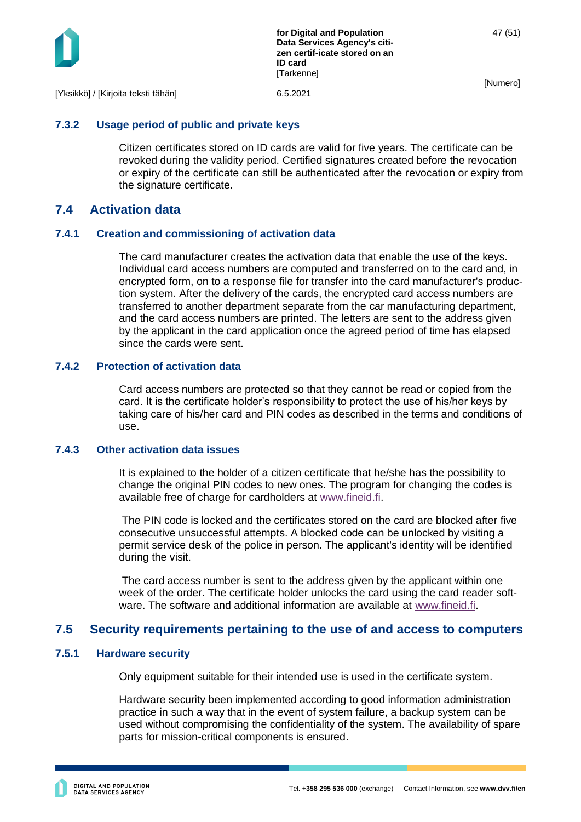

**for Digital and Population Data Services Agency's citizen certif-icate stored on an ID card** [Tarkenne]

47 (51)

[Numero]

#### <span id="page-47-0"></span>**7.3.2 Usage period of public and private keys**

Citizen certificates stored on ID cards are valid for five years. The certificate can be revoked during the validity period. Certified signatures created before the revocation or expiry of the certificate can still be authenticated after the revocation or expiry from the signature certificate.

## <span id="page-47-1"></span>**7.4 Activation data**

#### <span id="page-47-2"></span>**7.4.1 Creation and commissioning of activation data**

The card manufacturer creates the activation data that enable the use of the keys. Individual card access numbers are computed and transferred on to the card and, in encrypted form, on to a response file for transfer into the card manufacturer's production system. After the delivery of the cards, the encrypted card access numbers are transferred to another department separate from the car manufacturing department, and the card access numbers are printed. The letters are sent to the address given by the applicant in the card application once the agreed period of time has elapsed since the cards were sent.

#### <span id="page-47-3"></span>**7.4.2 Protection of activation data**

Card access numbers are protected so that they cannot be read or copied from the card. It is the certificate holder's responsibility to protect the use of his/her keys by taking care of his/her card and PIN codes as described in the terms and conditions of use.

#### <span id="page-47-4"></span>**7.4.3 Other activation data issues**

It is explained to the holder of a citizen certificate that he/she has the possibility to change the original PIN codes to new ones. The program for changing the codes is available free of charge for cardholders at [www.fineid.fi.](http://www.fineid.fi/)

The PIN code is locked and the certificates stored on the card are blocked after five consecutive unsuccessful attempts. A blocked code can be unlocked by visiting a permit service desk of the police in person. The applicant's identity will be identified during the visit.

The card access number is sent to the address given by the applicant within one week of the order. The certificate holder unlocks the card using the card reader software. The software and additional information are available at [www.fineid.fi.](http://www.fineid.fi/)

## <span id="page-47-5"></span>**7.5 Security requirements pertaining to the use of and access to computers**

#### <span id="page-47-6"></span>**7.5.1 Hardware security**

Only equipment suitable for their intended use is used in the certificate system.

Hardware security been implemented according to good information administration practice in such a way that in the event of system failure, a backup system can be used without compromising the confidentiality of the system. The availability of spare parts for mission-critical components is ensured.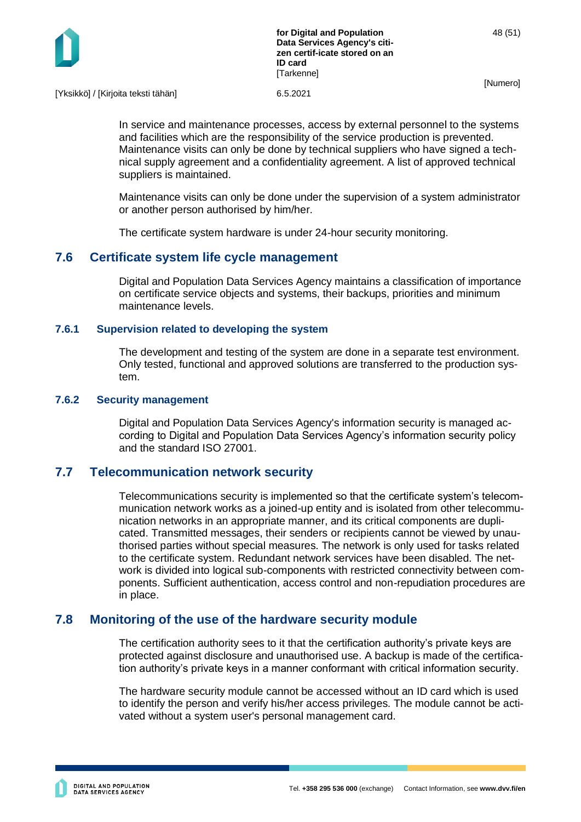

[Yksikkö] / [Kirjoita teksti tähän] 6.5.2021

In service and maintenance processes, access by external personnel to the systems and facilities which are the responsibility of the service production is prevented. Maintenance visits can only be done by technical suppliers who have signed a technical supply agreement and a confidentiality agreement. A list of approved technical suppliers is maintained.

Maintenance visits can only be done under the supervision of a system administrator or another person authorised by him/her.

The certificate system hardware is under 24-hour security monitoring.

## <span id="page-48-0"></span>**7.6 Certificate system life cycle management**

Digital and Population Data Services Agency maintains a classification of importance on certificate service objects and systems, their backups, priorities and minimum maintenance levels.

#### <span id="page-48-1"></span>**7.6.1 Supervision related to developing the system**

The development and testing of the system are done in a separate test environment. Only tested, functional and approved solutions are transferred to the production system.

#### <span id="page-48-2"></span>**7.6.2 Security management**

Digital and Population Data Services Agency's information security is managed according to Digital and Population Data Services Agency's information security policy and the standard ISO 27001.

#### <span id="page-48-3"></span>**7.7 Telecommunication network security**

Telecommunications security is implemented so that the certificate system's telecommunication network works as a joined-up entity and is isolated from other telecommunication networks in an appropriate manner, and its critical components are duplicated. Transmitted messages, their senders or recipients cannot be viewed by unauthorised parties without special measures. The network is only used for tasks related to the certificate system. Redundant network services have been disabled. The network is divided into logical sub-components with restricted connectivity between components. Sufficient authentication, access control and non-repudiation procedures are in place.

#### <span id="page-48-4"></span>**7.8 Monitoring of the use of the hardware security module**

The certification authority sees to it that the certification authority's private keys are protected against disclosure and unauthorised use. A backup is made of the certification authority's private keys in a manner conformant with critical information security.

The hardware security module cannot be accessed without an ID card which is used to identify the person and verify his/her access privileges. The module cannot be activated without a system user's personal management card.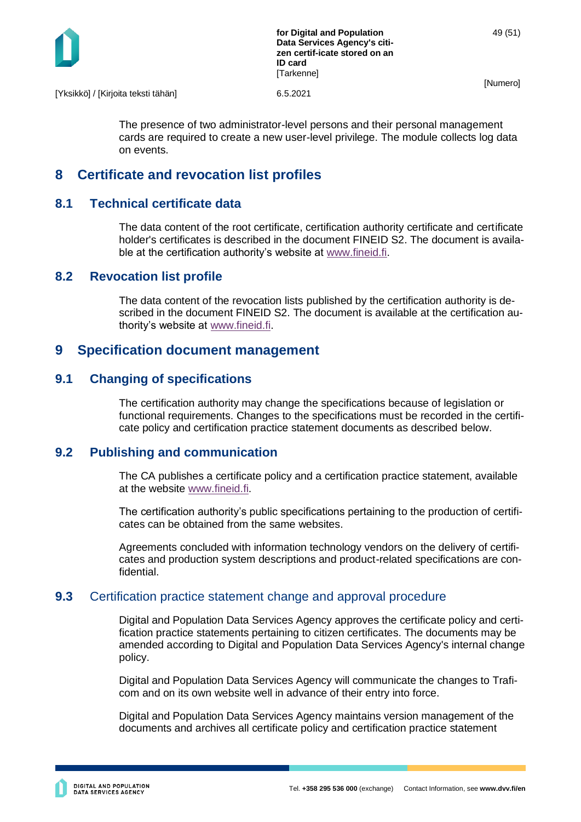

[Yksikkö] / [Kirjoita teksti tähän] 6.5.2021

The presence of two administrator-level persons and their personal management cards are required to create a new user-level privilege. The module collects log data on events.

## <span id="page-49-0"></span>**8 Certificate and revocation list profiles**

## <span id="page-49-1"></span>**8.1 Technical certificate data**

The data content of the root certificate, certification authority certificate and certificate holder's certificates is described in the document FINEID S2. The document is available at the certification authority's website at [www.fineid.fi.](http://www.fineid.fi/)

## <span id="page-49-2"></span>**8.2 Revocation list profile**

The data content of the revocation lists published by the certification authority is described in the document FINEID S2. The document is available at the certification authority's website at [www.fineid.fi.](http://www.fineid.fi/)

## <span id="page-49-3"></span>**9 Specification document management**

## <span id="page-49-4"></span>**9.1 Changing of specifications**

The certification authority may change the specifications because of legislation or functional requirements. Changes to the specifications must be recorded in the certificate policy and certification practice statement documents as described below.

## <span id="page-49-5"></span>**9.2 Publishing and communication**

The CA publishes a certificate policy and a certification practice statement, available at the website [www.fineid.fi.](http://www.fineid.fi/)

The certification authority's public specifications pertaining to the production of certificates can be obtained from the same websites.

Agreements concluded with information technology vendors on the delivery of certificates and production system descriptions and product-related specifications are confidential.

## <span id="page-49-6"></span>**9.3** Certification practice statement change and approval procedure

Digital and Population Data Services Agency approves the certificate policy and certification practice statements pertaining to citizen certificates. The documents may be amended according to Digital and Population Data Services Agency's internal change policy.

Digital and Population Data Services Agency will communicate the changes to Traficom and on its own website well in advance of their entry into force.

Digital and Population Data Services Agency maintains version management of the documents and archives all certificate policy and certification practice statement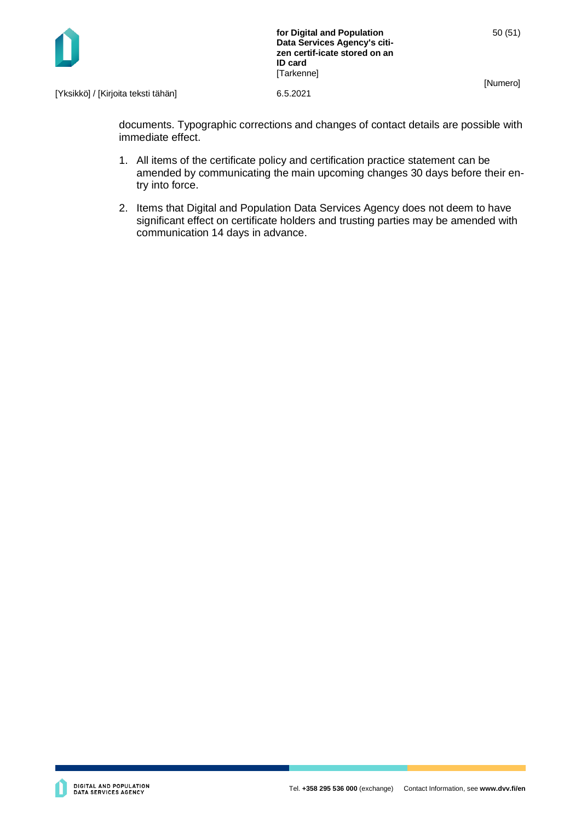



documents. Typographic corrections and changes of contact details are possible with immediate effect.

- 1. All items of the certificate policy and certification practice statement can be amended by communicating the main upcoming changes 30 days before their entry into force.
- 2. Items that Digital and Population Data Services Agency does not deem to have significant effect on certificate holders and trusting parties may be amended with communication 14 days in advance.